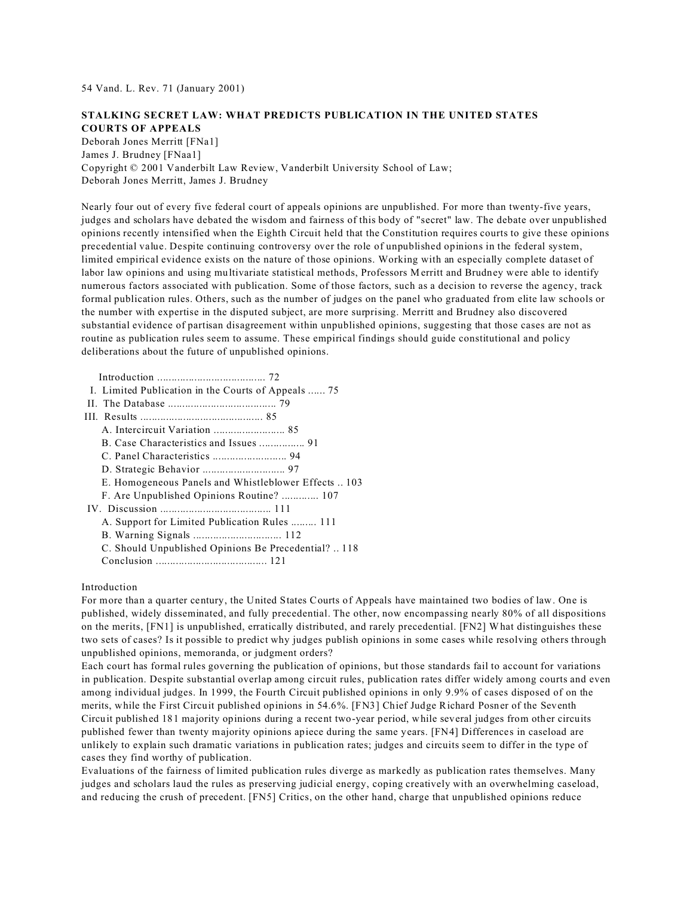54 Vand. L. Rev. 71 (January 2001)

# **STALKING SECRET LAW: WHAT PREDICTS PUBLICATION IN THE UNITED STATES COURTS OF APPEALS**

Deborah Jones Merritt [FNa1] James J. Brudney [FNaa1] Copyright © 2001 Vanderbilt Law Review, Vanderbilt University School of Law; Deborah Jones Merritt, James J. Brudney

Nearly four out of every five federal court of appeals opinions are unpublished. For more than twenty-five years, judges and scholars have debated the wisdom and fairness of this body of "secret" law. The debate over unpublished opinions recently intensified when the Eighth Circuit held that the Constitution requires courts to give these opinions precedential value. Despite continuing controversy over the role of unpublished opinions in the federal system, limited empirical evidence exists on the nature of those opinions. Working with an especially complete dataset of labor law opinions and using multivariate statistical methods, Professors Merritt and Brudney were able to identify numerous factors associated with publication. Some of those factors, such as a decision to reverse the agency, track formal publication rules. Others, such as the number of judges on the panel who graduated from elite law schools or the number with expertise in the disputed subject, are more surprising. Merritt and Brudney also discovered substantial evidence of partisan disagreement within unpublished opinions, suggesting that those cases are not as routine as publication rules seem to assume. These empirical findings should guide constitutional and policy deliberations about the future of unpublished opinions.

 Introduction ...................................... 72 I. Limited Publication in the Courts of Appeals ...... 75

- II. The Database ...................................... 79
- III. Results ........................................... 85 A. Intercircuit Variation ......................... 85
	- B. Case Characteristics and Issues ................ 91
	- C. Panel Characteristics .......................... 94
	- D. Strategic Behavior ............................. 97
	- E. Homogeneous Panels and Whistleblower Effects .. 103
	- F. Are Unpublished Opinions Routine? ............. 107
- IV. Discussion ....................................... 111
	- A. Support for Limited Publication Rules ......... 111
	- B. Warning Signals ............................... 112
	- C. Should Unpublished Opinions Be Precedential? .. 118
	- Conclusion ....................................... 121

## Introduction

For more than a quarter century, the United States Courts of Appeals have maintained two bodies of law. One is published, widely disseminated, and fully precedential. The other, now encompassing nearly 80% of all dispositions on the merits, [FN1] is unpublished, erratically distributed, and rarely precedential. [FN2] What distinguishes these two sets of cases? Is it possible to predict why judges publish opinions in some cases while resolving others through unpublished opinions, memoranda, or judgment orders?

Each court has formal rules governing the publication of opinions, but those standards fail to account for variations in publication. Despite substantial overlap among circuit rules, publication rates differ widely among courts and even among individual judges. In 1999, the Fourth Circuit published opinions in only 9.9% of cases disposed of on the merits, while the First Circuit published opinions in 54.6%. [FN3] Chief Judge Richard Posner of the Seventh Circuit published 181 majority opinions during a recent two-year period, while several judges from other circuits published fewer than twenty majority opinions apiece during the same years. [FN4] Differences in caseload are unlikely to explain such dramatic variations in publication rates; judges and circuits seem to differ in the type of cases they find worthy of publication.

Evaluations of the fairness of limited publication rules diverge as markedly as publication rates themselves. Many judges and scholars laud the rules as preserving judicial energy, coping creatively with an overwhelming caseload, and reducing the crush of precedent. [FN5] Critics, on the other hand, charge that unpublished opinions reduce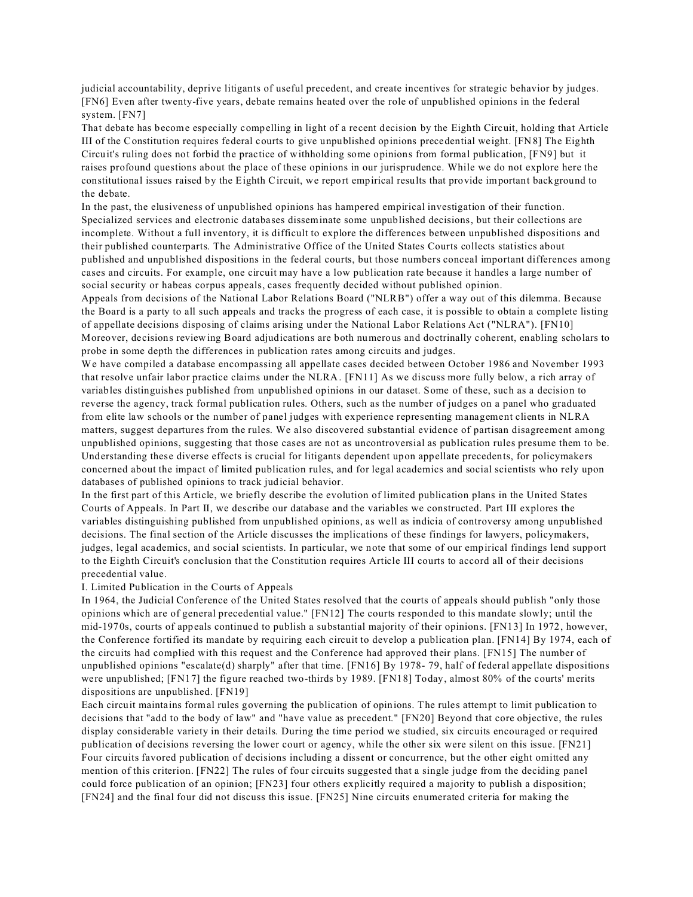judicial accountability, deprive litigants of useful precedent, and create incentives for strategic behavior by judges. [FN6] Even after twenty-five years, debate remains heated over the role of unpublished opinions in the federal system. [FN7]

That debate has become especially compelling in light of a recent decision by the Eighth Circuit, holding that Article III of the Constitution requires federal courts to give unpublished opinions precedential weight. [FN8] The Eighth Circuit's ruling does not forbid the practice of withholding some opinions from formal publication, [FN9] but it raises profound questions about the place of these opinions in our jurisprudence. While we do not explore here the constitutional issues raised by the Eighth Circuit, we report empirical results that provide important background to the debate.

In the past, the elusiveness of unpublished opinions has hampered empirical investigation of their function. Specialized services and electronic databases disseminate some unpublished decisions, but their collections are incomplete. Without a full inventory, it is difficult to explore the differences between unpublished dispositions and their published counterparts. The Administrative Office of the United States Courts collects statistics about published and unpublished dispositions in the federal courts, but those numbers conceal important differences among cases and circuits. For example, one circuit may have a low publication rate because it handles a large number of social security or habeas corpus appeals, cases frequently decided without published opinion.

Appeals from decisions of the National Labor Relations Board ("NLRB") offer a way out of this dilemma. Because the Board is a party to all such appeals and tracks the progress of each case, it is possible to obtain a complete listing of appellate decisions disposing of claims arising under the National Labor Relations Act ("NLRA"). [FN10] Moreover, decisions reviewing Board adjudications are both numerous and doctrinally coherent, enabling scholars to probe in some depth the differences in publication rates among circuits and judges.

We have compiled a database encompassing all appellate cases decided between October 1986 and November 1993 that resolve unfair labor practice claims under the NLRA. [FN11] As we discuss more fully below, a rich array of variables distinguishes published from unpublished opinions in our dataset. Some of these, such as a decision to reverse the agency, track formal publication rules. Others, such as the number of judges on a panel who graduated from elite law schools or the number of panel judges with experience representing management clients in NLRA matters, suggest departures from the rules. We also discovered substantial evidence of partisan disagreement among unpublished opinions, suggesting that those cases are not as uncontroversial as publication rules presume them to be. Understanding these diverse effects is crucial for litigants dependent upon appellate precedents, for policymakers concerned about the impact of limited publication rules, and for legal academics and social scientists who rely upon databases of published opinions to track judicial behavior.

In the first part of this Article, we briefly describe the evolution of limited publication plans in the United States Courts of Appeals. In Part II, we describe our database and the variables we constructed. Part III explores the variables distinguishing published from unpublished opinions, as well as indicia of controversy among unpublished decisions. The final section of the Article discusses the implications of these findings for lawyers, policymakers, judges, legal academics, and social scientists. In particular, we note that some of our empirical findings lend support to the Eighth Circuit's conclusion that the Constitution requires Article III courts to accord all of their decisions precedential value.

I. Limited Publication in the Courts of Appeals

In 1964, the Judicial Conference of the United States resolved that the courts of appeals should publish "only those opinions which are of general precedential value." [FN12] The courts responded to this mandate slowly; until the mid-1970s, courts of appeals continued to publish a substantial majority of their opinions. [FN13] In 1972, however, the Conference fortified its mandate by requiring each circuit to develop a publication plan. [FN14] By 1974, each of the circuits had complied with this request and the Conference had approved their plans. [FN15] The number of unpublished opinions "escalate(d) sharply" after that time. [FN16] By 1978- 79, half of federal appellate dispositions were unpublished; [FN17] the figure reached two-thirds by 1989. [FN18] Today, almost 80% of the courts' merits dispositions are unpublished. [FN19]

Each circuit maintains formal rules governing the publication of opinions. The rules attempt to limit publication to decisions that "add to the body of law" and "have value as precedent." [FN20] Beyond that core objective, the rules display considerable variety in their details. During the time period we studied, six circuits encouraged or required publication of decisions reversing the lower court or agency, while the other six were silent on this issue. [FN21] Four circuits favored publication of decisions including a dissent or concurrence, but the other eight omitted any mention of this criterion. [FN22] The rules of four circuits suggested that a single judge from the deciding panel could force publication of an opinion; [FN23] four others explicitly required a majority to publish a disposition; [FN24] and the final four did not discuss this issue. [FN25] Nine circuits enumerated criteria for making the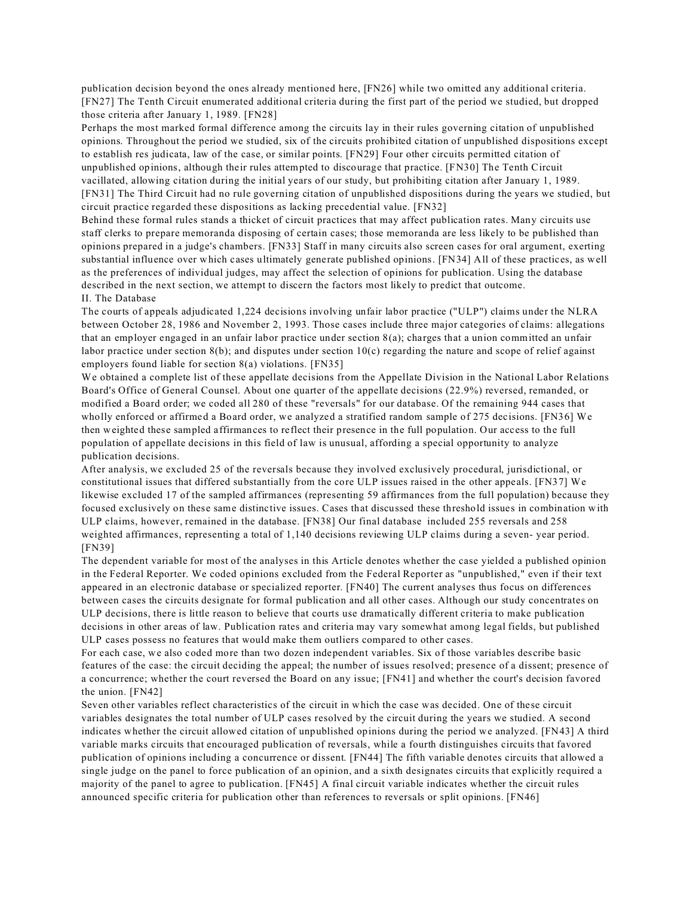publication decision beyond the ones already mentioned here, [FN26] while two omitted any additional criteria. [FN27] The Tenth Circuit enumerated additional criteria during the first part of the period we studied, but dropped those criteria after January 1, 1989. [FN28]

Perhaps the most marked formal difference among the circuits lay in their rules governing citation of unpublished opinions. Throughout the period we studied, six of the circuits prohibited citation of unpublished dispositions except to establish res judicata, law of the case, or similar points. [FN29] Four other circuits permitted citation of unpublished opinions, although their rules attempted to discourage that practice. [FN30] The Tenth Circuit vacillated, allowing citation during the initial years of our study, but prohibiting citation after January 1, 1989. [FN31] The Third Circuit had no rule governing citation of unpublished dispositions during the years we studied, but circuit practice regarded these dispositions as lacking precedential value. [FN32]

Behind these formal rules stands a thicket of circuit practices that may affect publication rates. Many circuits use staff clerks to prepare memoranda disposing of certain cases; those memoranda are less likely to be published than opinions prepared in a judge's chambers. [FN33] Staff in many circuits also screen cases for oral argument, exerting substantial influence over which cases ultimately generate published opinions. [FN34] All of these practices, as well as the preferences of individual judges, may affect the selection of opinions for publication. Using the database described in the next section, we attempt to discern the factors most likely to predict that outcome. II. The Database

The courts of appeals adjudicated 1,224 decisions involving unfair labor practice ("ULP") claims under the NLRA between October 28, 1986 and November 2, 1993. Those cases include three major categories of claims: allegations that an employer engaged in an unfair labor practice under section  $8(a)$ ; charges that a union committed an unfair labor practice under section  $8(b)$ ; and disputes under section  $10(c)$  regarding the nature and scope of relief against employers found liable for section 8(a) violations. [FN35]

We obtained a complete list of these appellate decisions from the Appellate Division in the National Labor Relations Board's Office of General Counsel. About one quarter of the appellate decisions (22.9%) reversed, remanded, or modified a Board order; we coded all 280 of these "reversals" for our database. Of the remaining 944 cases that wholly enforced or affirmed a Board order, we analyzed a stratified random sample of 275 decisions. [FN36] We then weighted these sampled affirmances to reflect their presence in the full population. Our access to the full population of appellate decisions in this field of law is unusual, affording a special opportunity to analyze publication decisions.

After analysis, we excluded 25 of the reversals because they involved exclusively procedural, jurisdictional, or constitutional issues that differed substantially from the core ULP issues raised in the other appeals. [FN37] We likewise excluded 17 of the sampled affirmances (representing 59 affirmances from the full population) because they focused exclusively on these same distinctive issues. Cases that discussed these threshold issues in combination with ULP claims, however, remained in the database. [FN38] Our final database included 255 reversals and 258 weighted affirmances, representing a total of 1,140 decisions reviewing ULP claims during a seven- year period. [FN39]

The dependent variable for most of the analyses in this Article denotes whether the case yielded a published opinion in the Federal Reporter. We coded opinions excluded from the Federal Reporter as "unpublished," even if their text appeared in an electronic database or specialized reporter. [FN40] The current analyses thus focus on differences between cases the circuits designate for formal publication and all other cases. Although our study concentrates on ULP decisions, there is little reason to believe that courts use dramatically different criteria to make publication decisions in other areas of law. Publication rates and criteria may vary somewhat among legal fields, but published ULP cases possess no features that would make them outliers compared to other cases.

For each case, we also coded more than two dozen independent variables. Six of those variables describe basic features of the case: the circuit deciding the appeal; the number of issues resolved; presence of a dissent; presence of a concurrence; whether the court reversed the Board on any issue; [FN41] and whether the court's decision favored the union. [FN42]

Seven other variables reflect characteristics of the circuit in which the case was decided. One of these circuit variables designates the total number of ULP cases resolved by the circuit during the years we studied. A second indicates whether the circuit allowed citation of unpublished opinions during the period we analyzed. [FN43] A third variable marks circuits that encouraged publication of reversals, while a fourth distinguishes circuits that favored publication of opinions including a concurrence or dissent. [FN44] The fifth variable denotes circuits that allowed a single judge on the panel to force publication of an opinion, and a sixth designates circuits that explicitly required a majority of the panel to agree to publication. [FN45] A final circuit variable indicates whether the circuit rules announced specific criteria for publication other than references to reversals or split opinions. [FN46]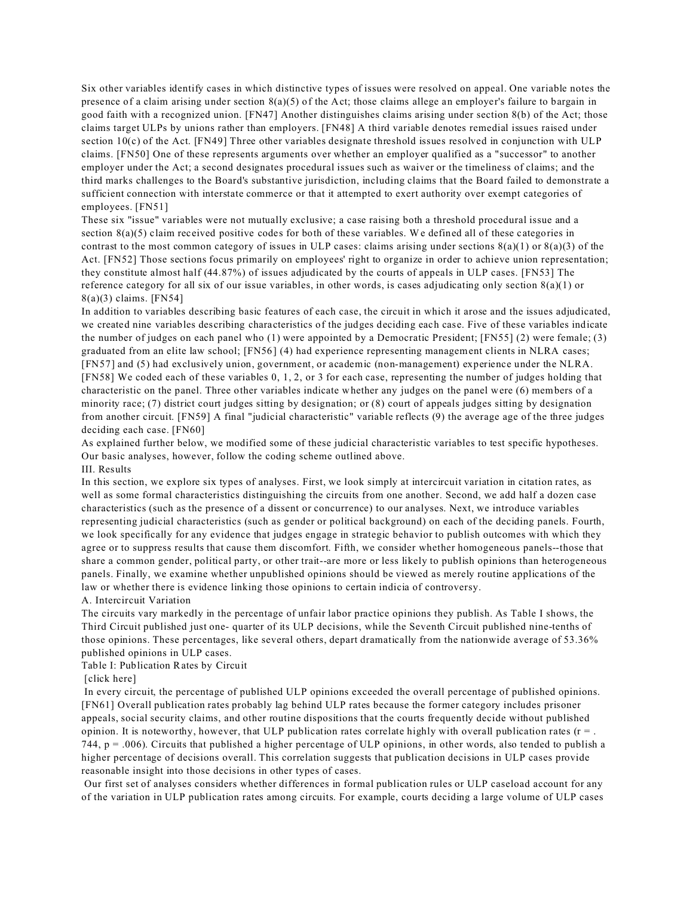Six other variables identify cases in which distinctive types of issues were resolved on appeal. One variable notes the presence of a claim arising under section 8(a)(5) of the Act; those claims allege an employer's failure to bargain in good faith with a recognized union. [FN47] Another distinguishes claims arising under section 8(b) of the Act; those claims target ULPs by unions rather than employers. [FN48] A third variable denotes remedial issues raised under section  $10(c)$  of the Act. [FN49] Three other variables designate threshold issues resolved in conjunction with ULP claims. [FN50] One of these represents arguments over whether an employer qualified as a "successor" to another employer under the Act; a second designates procedural issues such as waiver or the timeliness of claims; and the third marks challenges to the Board's substantive jurisdiction, including claims that the Board failed to demonstrate a sufficient connection with interstate commerce or that it attempted to exert authority over exempt categories of employees. [FN51]

These six "issue" variables were not mutually exclusive; a case raising both a threshold procedural issue and a section  $8(a)(5)$  claim received positive codes for both of these variables. We defined all of these categories in contrast to the most common category of issues in ULP cases: claims arising under sections  $8(a)(1)$  or  $8(a)(3)$  of the Act. [FN52] Those sections focus primarily on employees' right to organize in order to achieve union representation; they constitute almost half (44.87%) of issues adjudicated by the courts of appeals in ULP cases. [FN53] The reference category for all six of our issue variables, in other words, is cases adjudicating only section  $8(a)(1)$  or 8(a)(3) claims. [FN54]

In addition to variables describing basic features of each case, the circuit in which it arose and the issues adjudicated, we created nine variables describing characteristics of the judges deciding each case. Five of these variables indicate the number of judges on each panel who (1) were appointed by a Democratic President; [FN55] (2) were female; (3) graduated from an elite law school; [FN56] (4) had experience representing management clients in NLRA cases; [FN57] and (5) had exclusively union, government, or academic (non-management) experience under the NLRA. [FN58] We coded each of these variables 0, 1, 2, or 3 for each case, representing the number of judges holding that characteristic on the panel. Three other variables indicate whether any judges on the panel were (6) members of a minority race; (7) district court judges sitting by designation; or (8) court of appeals judges sitting by designation from another circuit. [FN59] A final "judicial characteristic" variable reflects (9) the average age of the three judges deciding each case. [FN60]

As explained further below, we modified some of these judicial characteristic variables to test specific hypotheses. Our basic analyses, however, follow the coding scheme outlined above. III. Results

In this section, we explore six types of analyses. First, we look simply at intercircuit variation in citation rates, as well as some formal characteristics distinguishing the circuits from one another. Second, we add half a dozen case characteristics (such as the presence of a dissent or concurrence) to our analyses. Next, we introduce variables representing judicial characteristics (such as gender or political background) on each of the deciding panels. Fourth, we look specifically for any evidence that judges engage in strategic behavior to publish outcomes with which they agree or to suppress results that cause them discomfort. Fifth, we consider whether homogeneous panels--those that share a common gender, political party, or other trait--are more or less likely to publish opinions than heterogeneous panels. Finally, we examine whether unpublished opinions should be viewed as merely routine applications of the law or whether there is evidence linking those opinions to certain indicia of controversy.

### A. Intercircuit Variation

The circuits vary markedly in the percentage of unfair labor practice opinions they publish. As Table I shows, the Third Circuit published just one- quarter of its ULP decisions, while the Seventh Circuit published nine-tenths of those opinions. These percentages, like several others, depart dramatically from the nationwide average of 53.36% published opinions in ULP cases.

## Table I: Publication Rates by Circuit

#### [click here]

 In every circuit, the percentage of published ULP opinions exceeded the overall percentage of published opinions. [FN61] Overall publication rates probably lag behind ULP rates because the former category includes prisoner appeals, social security claims, and other routine dispositions that the courts frequently decide without published opinion. It is noteworthy, however, that ULP publication rates correlate highly with overall publication rates ( $r =$ . 744,  $p = .006$ ). Circuits that published a higher percentage of ULP opinions, in other words, also tended to publish a higher percentage of decisions overall. This correlation suggests that publication decisions in ULP cases provide reasonable insight into those decisions in other types of cases.

 Our first set of analyses considers whether differences in formal publication rules or ULP caseload account for any of the variation in ULP publication rates among circuits. For example, courts deciding a large volume of ULP cases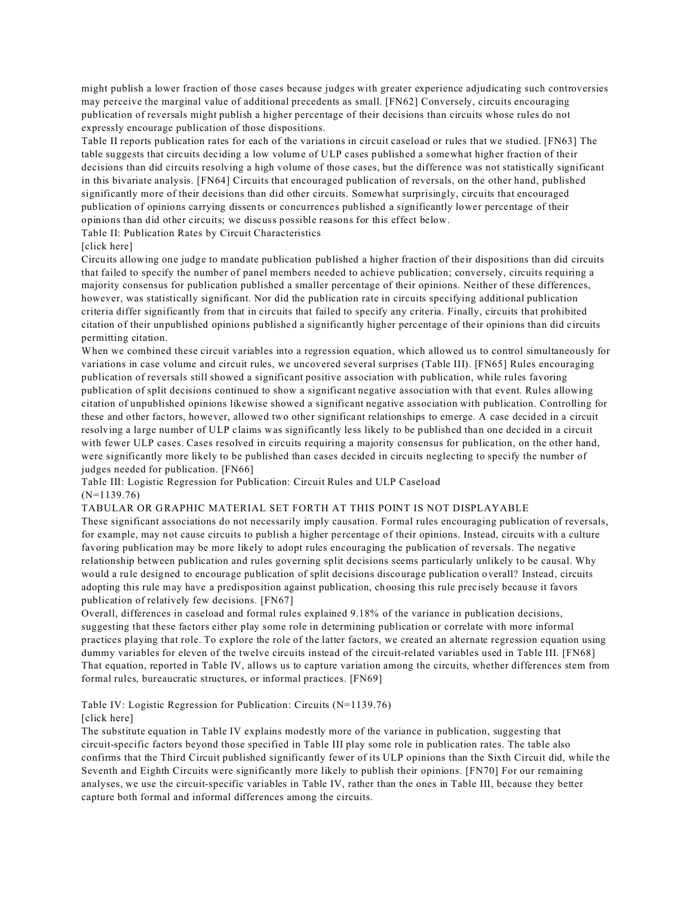might publish a lower fraction of those cases because judges with greater experience adjudicating such controversies may perceive the marginal value of additional precedents as small. [FN62] Conversely, circuits encouraging publication of reversals might publish a higher percentage of their decisions than circuits whose rules do not expressly encourage publication of those dispositions.

Table II reports publication rates for each of the variations in circuit caseload or rules that we studied. [FN63] The table suggests that circuits deciding a low volume of ULP cases published a somewhat higher fraction of their decisions than did circuits resolving a high volume of those cases, but the difference was not statistically significant in this bivariate analysis. [FN64] Circuits that encouraged publication of reversals, on the other hand, published significantly more of their decisions than did other circuits. Somewhat surprisingly, circuits that encouraged publication of opinions carrying dissents or concurrences published a significantly lower percentage of their opinions than did other circuits; we discuss possible reasons for this effect below.

Table II: Publication Rates by Circuit Characteristics

## [click here]

Circuits allowing one judge to mandate publication published a higher fraction of their dispositions than did circuits that failed to specify the number of panel members needed to achieve publication; conversely, circuits requiring a majority consensus for publication published a smaller percentage of their opinions. Neither of these differences, however, was statistically significant. Nor did the publication rate in circuits specifying additional publication criteria differ significantly from that in circuits that failed to specify any criteria. Finally, circuits that prohibited citation of their unpublished opinions published a significantly higher percentage of their opinions than did circuits permitting citation.

When we combined these circuit variables into a regression equation, which allowed us to control simultaneously for variations in case volume and circuit rules, we uncovered several surprises (Table III). [FN65] Rules encouraging publication of reversals still showed a significant positive association with publication, while rules favoring publication of split decisions continued to show a significant negative association with that event. Rules allowing citation of unpublished opinions likewise showed a significant negative association with publication. Controlling for these and other factors, however, allowed two other significant relationships to emerge. A case decided in a circuit resolving a large number of ULP claims was significantly less likely to be published than one decided in a circuit with fewer ULP cases. Cases resolved in circuits requiring a majority consensus for publication, on the other hand, were significantly more likely to be published than cases decided in circuits neglecting to specify the number of judges needed for publication. [FN66]

Table III: Logistic Regression for Publication: Circuit Rules and ULP Caseload (N=1139.76)

## TABULAR OR GRAPHIC MATERIAL SET FORTH AT THIS POINT IS NOT DISPLAYABLE

These significant associations do not necessarily imply causation. Formal rules encouraging publication of reversals, for example, may not cause circuits to publish a higher percentage of their opinions. Instead, circuits with a culture favoring publication may be more likely to adopt rules encouraging the publication of reversals. The negative relationship between publication and rules governing split decisions seems particularly unlikely to be causal. Why would a rule designed to encourage publication of split decisions discourage publication overall? Instead, circuits adopting this rule may have a predisposition against publication, choosing this rule precisely because it favors publication of relatively few decisions. [FN67]

Overall, differences in caseload and formal rules explained 9.18% of the variance in publication decisions, suggesting that these factors either play some role in determining publication or correlate with more informal practices playing that role. To explore the role of the latter factors, we created an alternate regression equation using dummy variables for eleven of the twelve circuits instead of the circuit-related variables used in Table III. [FN68] That equation, reported in Table IV, allows us to capture variation among the circuits, whether differences stem from formal rules, bureaucratic structures, or informal practices. [FN69]

Table IV: Logistic Regression for Publication: Circuits (N=1139.76)

### [click here]

The substitute equation in Table IV explains modestly more of the variance in publication, suggesting that circuit-specific factors beyond those specified in Table III play some role in publication rates. The table also confirms that the Third Circuit published significantly fewer of its ULP opinions than the Sixth Circuit did, while the Seventh and Eighth Circuits were significantly more likely to publish their opinions. [FN70] For our remaining analyses, we use the circuit-specific variables in Table IV, rather than the ones in Table III, because they better capture both formal and informal differences among the circuits.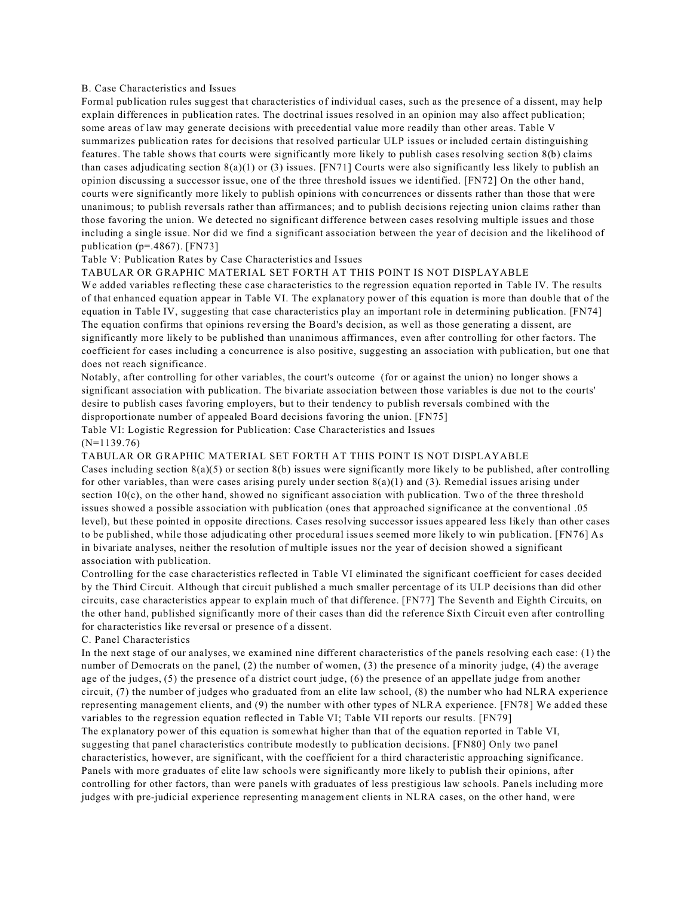## B. Case Characteristics and Issues

Formal publication rules suggest that characteristics of individual cases, such as the presence of a dissent, may help explain differences in publication rates. The doctrinal issues resolved in an opinion may also affect publication; some areas of law may generate decisions with precedential value more readily than other areas. Table V summarizes publication rates for decisions that resolved particular ULP issues or included certain distinguishing features. The table shows that courts were significantly more likely to publish cases resolving section 8(b) claims than cases adjudicating section  $8(a)(1)$  or (3) issues. [FN71] Courts were also significantly less likely to publish an opinion discussing a successor issue, one of the three threshold issues we identified. [FN72] On the other hand, courts were significantly more likely to publish opinions with concurrences or dissents rather than those that were unanimous; to publish reversals rather than affirmances; and to publish decisions rejecting union claims rather than those favoring the union. We detected no significant difference between cases resolving multiple issues and those including a single issue. Nor did we find a significant association between the year of decision and the likelihood of publication (p=.4867). [FN73]

## Table V: Publication Rates by Case Characteristics and Issues

#### TABULAR OR GRAPHIC MATERIAL SET FORTH AT THIS POINT IS NOT DISPLAYABLE

We added variables reflecting these case characteristics to the regression equation reported in Table IV. The results of that enhanced equation appear in Table VI. The explanatory power of this equation is more than double that of the equation in Table IV, suggesting that case characteristics play an important role in determining publication. [FN74] The equation confirms that opinions reversing the Board's decision, as well as those generating a dissent, are significantly more likely to be published than unanimous affirmances, even after controlling for other factors. The coefficient for cases including a concurrence is also positive, suggesting an association with publication, but one that does not reach significance.

Notably, after controlling for other variables, the court's outcome (for or against the union) no longer shows a significant association with publication. The bivariate association between those variables is due not to the courts' desire to publish cases favoring employers, but to their tendency to publish reversals combined with the disproportionate number of appealed Board decisions favoring the union. [FN75]

Table VI: Logistic Regression for Publication: Case Characteristics and Issues (N=1139.76)

## TABULAR OR GRAPHIC MATERIAL SET FORTH AT THIS POINT IS NOT DISPLAYABLE Cases including section  $8(a)(5)$  or section  $8(b)$  issues were significantly more likely to be published, after controlling for other variables, than were cases arising purely under section  $8(a)(1)$  and (3). Remedial issues arising under section  $10(c)$ , on the other hand, showed no significant association with publication. Two of the three threshold issues showed a possible association with publication (ones that approached significance at the conventional .05 level), but these pointed in opposite directions. Cases resolving successor issues appeared less likely than other cases to be published, while those adjudicating other procedural issues seemed more likely to win publication. [FN76] As in bivariate analyses, neither the resolution of multiple issues nor the year of decision showed a significant association with publication.

Controlling for the case characteristics reflected in Table VI eliminated the significant coefficient for cases decided by the Third Circuit. Although that circuit published a much smaller percentage of its ULP decisions than did other circuits, case characteristics appear to explain much of that difference. [FN77] The Seventh and Eighth Circuits, on the other hand, published significantly more of their cases than did the reference Sixth Circuit even after controlling for characteristics like reversal or presence of a dissent.

#### C. Panel Characteristics

In the next stage of our analyses, we examined nine different characteristics of the panels resolving each case: (1) the number of Democrats on the panel, (2) the number of women, (3) the presence of a minority judge, (4) the average age of the judges, (5) the presence of a district court judge, (6) the presence of an appellate judge from another circuit, (7) the number of judges who graduated from an elite law school, (8) the number who had NLRA experience representing management clients, and (9) the number with other types of NLRA experience. [FN78] We added these variables to the regression equation reflected in Table VI; Table VII reports our results. [FN79]

The explanatory power of this equation is somewhat higher than that of the equation reported in Table VI, suggesting that panel characteristics contribute modestly to publication decisions. [FN80] Only two panel characteristics, however, are significant, with the coefficient for a third characteristic approaching significance. Panels with more graduates of elite law schools were significantly more likely to publish their opinions, after controlling for other factors, than were panels with graduates of less prestigious law schools. Panels including more judges with pre-judicial experience representing management clients in NLRA cases, on the other hand, were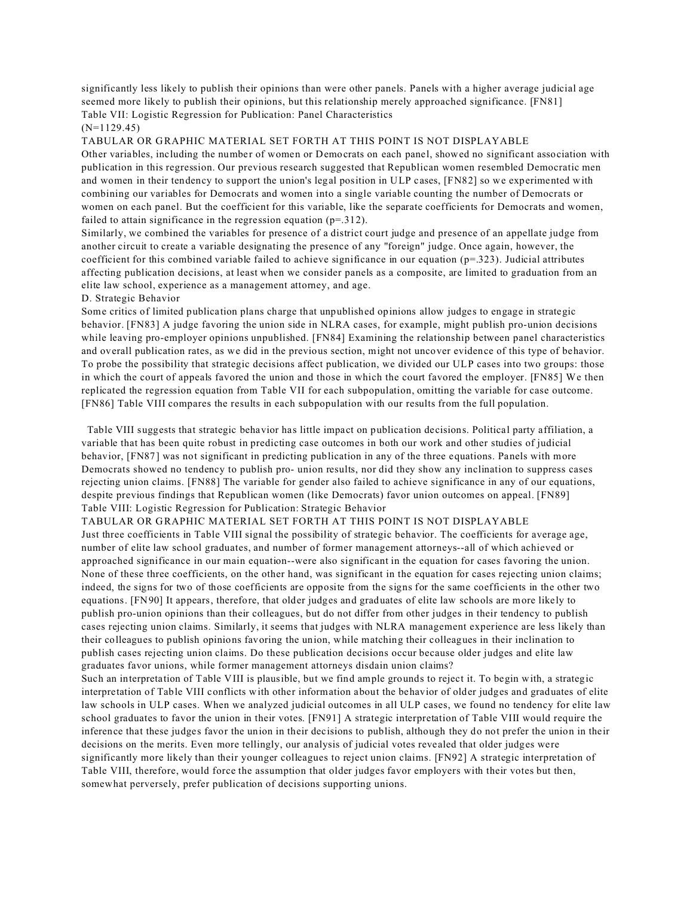significantly less likely to publish their opinions than were other panels. Panels with a higher average judicial age seemed more likely to publish their opinions, but this relationship merely approached significance. [FN81] Table VII: Logistic Regression for Publication: Panel Characteristics

### (N=1129.45)

TABULAR OR GRAPHIC MATERIAL SET FORTH AT THIS POINT IS NOT DISPLAYABLE Other variables, including the number of women or Democrats on each panel, showed no significant association with publication in this regression. Our previous research suggested that Republican women resembled Democratic men and women in their tendency to support the union's legal position in ULP cases, [FN82] so we experimented with combining our variables for Democrats and women into a single variable counting the number of Democrats or women on each panel. But the coefficient for this variable, like the separate coefficients for Democrats and women, failed to attain significance in the regression equation  $(p=0.312)$ .

Similarly, we combined the variables for presence of a district court judge and presence of an appellate judge from another circuit to create a variable designating the presence of any "foreign" judge. Once again, however, the coefficient for this combined variable failed to achieve significance in our equation ( $p=323$ ). Judicial attributes affecting publication decisions, at least when we consider panels as a composite, are limited to graduation from an elite law school, experience as a management attorney, and age.

## D. Strategic Behavior

Some critics of limited publication plans charge that unpublished opinions allow judges to engage in strategic behavior. [FN83] A judge favoring the union side in NLRA cases, for example, might publish pro-union decisions while leaving pro-employer opinions unpublished. [FN84] Examining the relationship between panel characteristics and overall publication rates, as we did in the previous section, might not uncover evidence of this type of behavior. To probe the possibility that strategic decisions affect publication, we divided our ULP cases into two groups: those in which the court of appeals favored the union and those in which the court favored the employer. [FN85] We then replicated the regression equation from Table VII for each subpopulation, omitting the variable for case outcome. [FN86] Table VIII compares the results in each subpopulation with our results from the full population.

 Table VIII suggests that strategic behavior has little impact on publication decisions. Political party affiliation, a variable that has been quite robust in predicting case outcomes in both our work and other studies of judicial behavior, [FN87] was not significant in predicting publication in any of the three equations. Panels with more Democrats showed no tendency to publish pro- union results, nor did they show any inclination to suppress cases rejecting union claims. [FN88] The variable for gender also failed to achieve significance in any of our equations, despite previous findings that Republican women (like Democrats) favor union outcomes on appeal. [FN89] Table VIII: Logistic Regression for Publication: Strategic Behavior

### TABULAR OR GRAPHIC MATERIAL SET FORTH AT THIS POINT IS NOT DISPLAYABLE

Just three coefficients in Table VIII signal the possibility of strategic behavior. The coefficients for average age, number of elite law school graduates, and number of former management attorneys--all of which achieved or approached significance in our main equation--were also significant in the equation for cases favoring the union. None of these three coefficients, on the other hand, was significant in the equation for cases rejecting union claims; indeed, the signs for two of those coefficients are opposite from the signs for the same coefficients in the other two equations. [FN90] It appears, therefore, that older judges and graduates of elite law schools are more likely to publish pro-union opinions than their colleagues, but do not differ from other judges in their tendency to publish cases rejecting union claims. Similarly, it seems that judges with NLRA management experience are less likely than their colleagues to publish opinions favoring the union, while matching their colleagues in their inclination to publish cases rejecting union claims. Do these publication decisions occur because older judges and elite law graduates favor unions, while former management attorneys disdain union claims?

Such an interpretation of Table VIII is plausible, but we find ample grounds to reject it. To begin with, a strategic interpretation of Table VIII conflicts with other information about the behavior of older judges and graduates of elite law schools in ULP cases. When we analyzed judicial outcomes in all ULP cases, we found no tendency for elite law school graduates to favor the union in their votes. [FN91] A strategic interpretation of Table VIII would require the inference that these judges favor the union in their decisions to publish, although they do not prefer the union in their decisions on the merits. Even more tellingly, our analysis of judicial votes revealed that older judges were significantly more likely than their younger colleagues to reject union claims. [FN92] A strategic interpretation of Table VIII, therefore, would force the assumption that older judges favor employers with their votes but then, somewhat perversely, prefer publication of decisions supporting unions.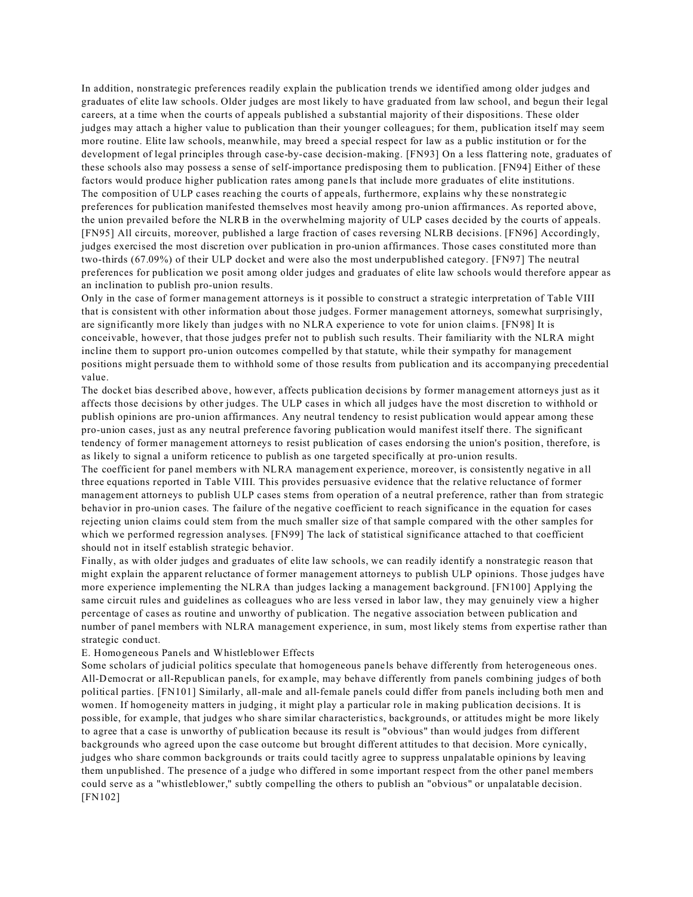In addition, nonstrategic preferences readily explain the publication trends we identified among older judges and graduates of elite law schools. Older judges are most likely to have graduated from law school, and begun their legal careers, at a time when the courts of appeals published a substantial majority of their dispositions. These older judges may attach a higher value to publication than their younger colleagues; for them, publication itself may seem more routine. Elite law schools, meanwhile, may breed a special respect for law as a public institution or for the development of legal principles through case-by-case decision-making. [FN93] On a less flattering note, graduates of these schools also may possess a sense of self-importance predisposing them to publication. [FN94] Either of these factors would produce higher publication rates among panels that include more graduates of elite institutions. The composition of ULP cases reaching the courts of appeals, furthermore, explains why these nonstrategic preferences for publication manifested themselves most heavily among pro-union affirmances. As reported above, the union prevailed before the NLRB in the overwhelming majority of ULP cases decided by the courts of appeals. [FN95] All circuits, moreover, published a large fraction of cases reversing NLRB decisions. [FN96] Accordingly, judges exercised the most discretion over publication in pro-union affirmances. Those cases constituted more than two-thirds (67.09%) of their ULP docket and were also the most underpublished category. [FN97] The neutral preferences for publication we posit among older judges and graduates of elite law schools would therefore appear as an inclination to publish pro-union results.

Only in the case of former management attorneys is it possible to construct a strategic interpretation of Table VIII that is consistent with other information about those judges. Former management attorneys, somewhat surprisingly, are significantly more likely than judges with no NLRA experience to vote for union claims. [FN98] It is conceivable, however, that those judges prefer not to publish such results. Their familiarity with the NLRA might incline them to support pro-union outcomes compelled by that statute, while their sympathy for management positions might persuade them to withhold some of those results from publication and its accompanying precedential value.

The docket bias described above, however, affects publication decisions by former management attorneys just as it affects those decisions by other judges. The ULP cases in which all judges have the most discretion to withhold or publish opinions are pro-union affirmances. Any neutral tendency to resist publication would appear among these pro-union cases, just as any neutral preference favoring publication would manifest itself there. The significant tendency of former management attorneys to resist publication of cases endorsing the union's position, therefore, is as likely to signal a uniform reticence to publish as one targeted specifically at pro-union results.

The coefficient for panel members with NLRA management experience, moreover, is consistently negative in all three equations reported in Table VIII. This provides persuasive evidence that the relative reluctance of former management attorneys to publish ULP cases stems from operation of a neutral preference, rather than from strategic behavior in pro-union cases. The failure of the negative coefficient to reach significance in the equation for cases rejecting union claims could stem from the much smaller size of that sample compared with the other samples for which we performed regression analyses. [FN99] The lack of statistical significance attached to that coefficient should not in itself establish strategic behavior.

Finally, as with older judges and graduates of elite law schools, we can readily identify a nonstrategic reason that might explain the apparent reluctance of former management attorneys to publish ULP opinions. Those judges have more experience implementing the NLRA than judges lacking a management background. [FN100] Applying the same circuit rules and guidelines as colleagues who are less versed in labor law, they may genuinely view a higher percentage of cases as routine and unworthy of publication. The negative association between publication and number of panel members with NLRA management experience, in sum, most likely stems from expertise rather than strategic conduct.

### E. Homogeneous Panels and Whistleblower Effects

Some scholars of judicial politics speculate that homogeneous panels behave differently from heterogeneous ones. All-Democrat or all-Republican panels, for example, may behave differently from panels combining judges of both political parties. [FN101] Similarly, all-male and all-female panels could differ from panels including both men and women. If homogeneity matters in judging, it might play a particular role in making publication decisions. It is possible, for example, that judges who share similar characteristics, backgrounds, or attitudes might be more likely to agree that a case is unworthy of publication because its result is "obvious" than would judges from different backgrounds who agreed upon the case outcome but brought different attitudes to that decision. More cynically, judges who share common backgrounds or traits could tacitly agree to suppress unpalatable opinions by leaving them unpublished. The presence of a judge who differed in some important respect from the other panel members could serve as a "whistleblower," subtly compelling the others to publish an "obvious" or unpalatable decision. [FN102]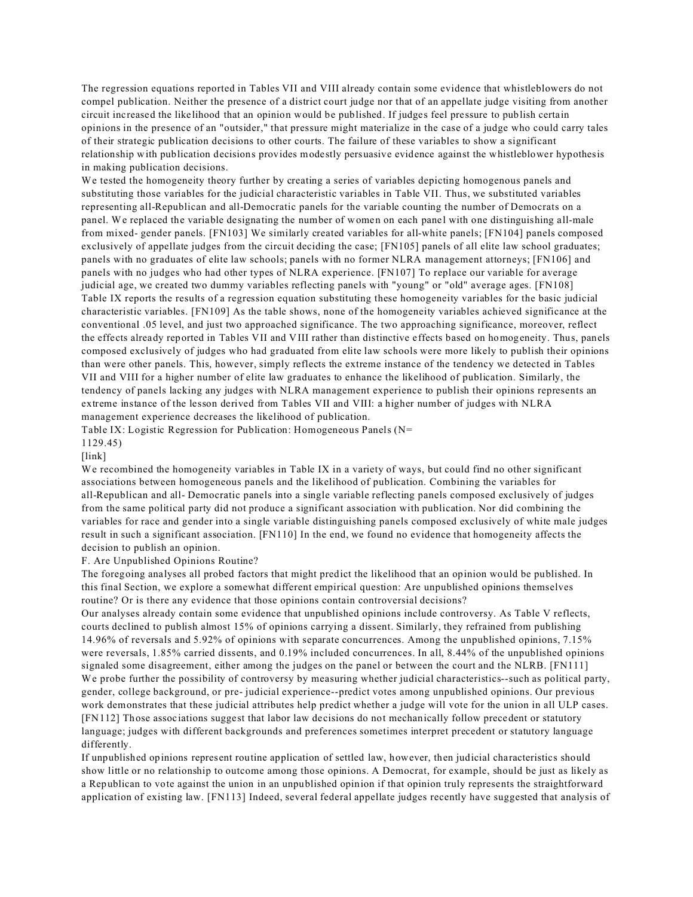The regression equations reported in Tables VII and VIII already contain some evidence that whistleblowers do not compel publication. Neither the presence of a district court judge nor that of an appellate judge visiting from another circuit increased the likelihood that an opinion would be published. If judges feel pressure to publish certain opinions in the presence of an "outsider," that pressure might materialize in the case of a judge who could carry tales of their strategic publication decisions to other courts. The failure of these variables to show a significant relationship with publication decisions provides modestly persuasive evidence against the whistleblower hypothesis in making publication decisions.

We tested the homogeneity theory further by creating a series of variables depicting homogenous panels and substituting those variables for the judicial characteristic variables in Table VII. Thus, we substituted variables representing all-Republican and all-Democratic panels for the variable counting the number of Democrats on a panel. We replaced the variable designating the number of women on each panel with one distinguishing all-male from mixed- gender panels. [FN103] We similarly created variables for all-white panels; [FN104] panels composed exclusively of appellate judges from the circuit deciding the case; [FN105] panels of all elite law school graduates; panels with no graduates of elite law schools; panels with no former NLRA management attorneys; [FN106] and panels with no judges who had other types of NLRA experience. [FN107] To replace our variable for average judicial age, we created two dummy variables reflecting panels with "young" or "old" average ages. [FN108] Table IX reports the results of a regression equation substituting these homogeneity variables for the basic judicial characteristic variables. [FN109] As the table shows, none of the homogeneity variables achieved significance at the conventional .05 level, and just two approached significance. The two approaching significance, moreover, reflect the effects already reported in Tables VII and VIII rather than distinctive effects based on homogeneity. Thus, panels composed exclusively of judges who had graduated from elite law schools were more likely to publish their opinions than were other panels. This, however, simply reflects the extreme instance of the tendency we detected in Tables VII and VIII for a higher number of elite law graduates to enhance the likelihood of publication. Similarly, the tendency of panels lacking any judges with NLRA management experience to publish their opinions represents an extreme instance of the lesson derived from Tables VII and VIII: a higher number of judges with NLRA management experience decreases the likelihood of publication.

Table IX: Logistic Regression for Publication: Homogeneous Panels (N=

1129.45)

[link]

We recombined the homogeneity variables in Table IX in a variety of ways, but could find no other significant associations between homogeneous panels and the likelihood of publication. Combining the variables for all-Republican and all- Democratic panels into a single variable reflecting panels composed exclusively of judges from the same political party did not produce a significant association with publication. Nor did combining the variables for race and gender into a single variable distinguishing panels composed exclusively of white male judges result in such a significant association. [FN110] In the end, we found no evidence that homogeneity affects the decision to publish an opinion.

## F. Are Unpublished Opinions Routine?

The foregoing analyses all probed factors that might predict the likelihood that an opinion would be published. In this final Section, we explore a somewhat different empirical question: Are unpublished opinions themselves routine? Or is there any evidence that those opinions contain controversial decisions?

Our analyses already contain some evidence that unpublished opinions include controversy. As Table V reflects, courts declined to publish almost 15% of opinions carrying a dissent. Similarly, they refrained from publishing 14.96% of reversals and 5.92% of opinions with separate concurrences. Among the unpublished opinions, 7.15% were reversals, 1.85% carried dissents, and 0.19% included concurrences. In all, 8.44% of the unpublished opinions signaled some disagreement, either among the judges on the panel or between the court and the NLRB. [FN111] We probe further the possibility of controversy by measuring whether judicial characteristics--such as political party, gender, college background, or pre- judicial experience--predict votes among unpublished opinions. Our previous work demonstrates that these judicial attributes help predict whether a judge will vote for the union in all ULP cases. [FN112] Those associations suggest that labor law decisions do not mechanically follow precedent or statutory language; judges with different backgrounds and preferences sometimes interpret precedent or statutory language differently.

If unpublished opinions represent routine application of settled law, however, then judicial characteristics should show little or no relationship to outcome among those opinions. A Democrat, for example, should be just as likely as a Republican to vote against the union in an unpublished opinion if that opinion truly represents the straightforward application of existing law. [FN113] Indeed, several federal appellate judges recently have suggested that analysis of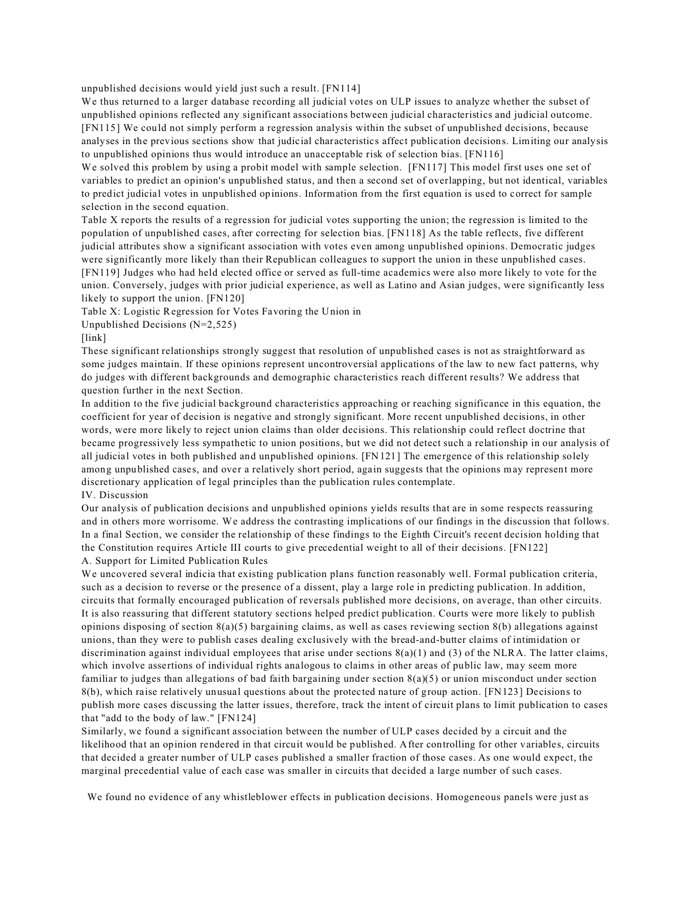unpublished decisions would yield just such a result. [FN114]

We thus returned to a larger database recording all judicial votes on ULP issues to analyze whether the subset of unpublished opinions reflected any significant associations between judicial characteristics and judicial outcome. [FN115] We could not simply perform a regression analysis within the subset of unpublished decisions, because analyses in the previous sections show that judicial characteristics affect publication decisions. Limiting our analysis to unpublished opinions thus would introduce an unacceptable risk of selection bias. [FN116]

We solved this problem by using a probit model with sample selection. [FN117] This model first uses one set of variables to predict an opinion's unpublished status, and then a second set of overlapping, but not identical, variables to predict judicial votes in unpublished opinions. Information from the first equation is used to correct for sample selection in the second equation.

Table X reports the results of a regression for judicial votes supporting the union; the regression is limited to the population of unpublished cases, after correcting for selection bias. [FN118] As the table reflects, five different judicial attributes show a significant association with votes even among unpublished opinions. Democratic judges were significantly more likely than their Republican colleagues to support the union in these unpublished cases. [FN119] Judges who had held elected office or served as full-time academics were also more likely to vote for the union. Conversely, judges with prior judicial experience, as well as Latino and Asian judges, were significantly less likely to support the union. [FN120]

Table X: Logistic Regression for Votes Favoring the Union in

Unpublished Decisions (N=2,525)

[link]

These significant relationships strongly suggest that resolution of unpublished cases is not as straightforward as some judges maintain. If these opinions represent uncontroversial applications of the law to new fact patterns, why do judges with different backgrounds and demographic characteristics reach different results? We address that question further in the next Section.

In addition to the five judicial background characteristics approaching or reaching significance in this equation, the coefficient for year of decision is negative and strongly significant. More recent unpublished decisions, in other words, were more likely to reject union claims than older decisions. This relationship could reflect doctrine that became progressively less sympathetic to union positions, but we did not detect such a relationship in our analysis of all judicial votes in both published and unpublished opinions. [FN121] The emergence of this relationship solely among unpublished cases, and over a relatively short period, again suggests that the opinions may represent more discretionary application of legal principles than the publication rules contemplate. IV. Discussion

Our analysis of publication decisions and unpublished opinions yields results that are in some respects reassuring and in others more worrisome. We address the contrasting implications of our findings in the discussion that follows. In a final Section, we consider the relationship of these findings to the Eighth Circuit's recent decision holding that the Constitution requires Article III courts to give precedential weight to all of their decisions. [FN122] A. Support for Limited Publication Rules

We uncovered several indicia that existing publication plans function reasonably well. Formal publication criteria, such as a decision to reverse or the presence of a dissent, play a large role in predicting publication. In addition, circuits that formally encouraged publication of reversals published more decisions, on average, than other circuits. It is also reassuring that different statutory sections helped predict publication. Courts were more likely to publish opinions disposing of section  $8(a)(5)$  bargaining claims, as well as cases reviewing section  $8(b)$  allegations against unions, than they were to publish cases dealing exclusively with the bread-and-butter claims of intimidation or discrimination against individual employees that arise under sections  $8(a)(1)$  and (3) of the NLRA. The latter claims, which involve assertions of individual rights analogous to claims in other areas of public law, may seem more familiar to judges than allegations of bad faith bargaining under section 8(a)(5) or union misconduct under section 8(b), which raise relatively unusual questions about the protected nature of group action. [FN123] Decisions to publish more cases discussing the latter issues, therefore, track the intent of circuit plans to limit publication to cases that "add to the body of law." [FN124]

Similarly, we found a significant association between the number of ULP cases decided by a circuit and the likelihood that an opinion rendered in that circuit would be published. After controlling for other variables, circuits that decided a greater number of ULP cases published a smaller fraction of those cases. As one would expect, the marginal precedential value of each case was smaller in circuits that decided a large number of such cases.

We found no evidence of any whistleblower effects in publication decisions. Homogeneous panels were just as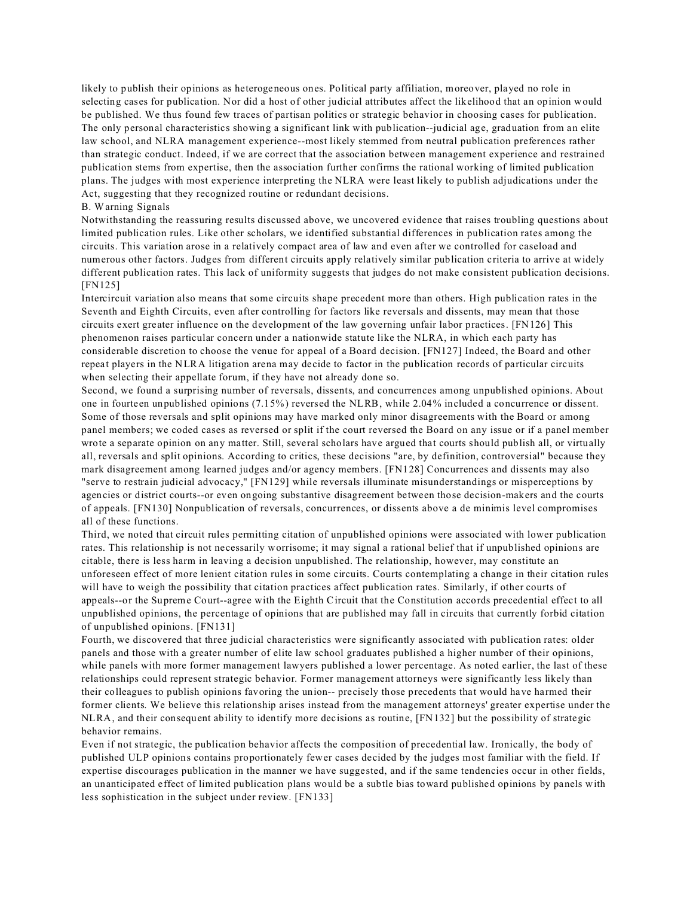likely to publish their opinions as heterogeneous ones. Political party affiliation, moreover, played no role in selecting cases for publication. Nor did a host of other judicial attributes affect the likelihood that an opinion would be published. We thus found few traces of partisan politics or strategic behavior in choosing cases for publication. The only personal characteristics showing a significant link with publication--judicial age, graduation from an elite law school, and NLRA management experience--most likely stemmed from neutral publication preferences rather than strategic conduct. Indeed, if we are correct that the association between management experience and restrained publication stems from expertise, then the association further confirms the rational working of limited publication plans. The judges with most experience interpreting the NLRA were least likely to publish adjudications under the Act, suggesting that they recognized routine or redundant decisions.

## B. Warning Signals

Notwithstanding the reassuring results discussed above, we uncovered evidence that raises troubling questions about limited publication rules. Like other scholars, we identified substantial differences in publication rates among the circuits. This variation arose in a relatively compact area of law and even after we controlled for caseload and numerous other factors. Judges from different circuits apply relatively similar publication criteria to arrive at widely different publication rates. This lack of uniformity suggests that judges do not make consistent publication decisions. [FN125]

Intercircuit variation also means that some circuits shape precedent more than others. High publication rates in the Seventh and Eighth Circuits, even after controlling for factors like reversals and dissents, may mean that those circuits exert greater influence on the development of the law governing unfair labor practices. [FN126] This phenomenon raises particular concern under a nationwide statute like the NLRA, in which each party has considerable discretion to choose the venue for appeal of a Board decision. [FN127] Indeed, the Board and other repeat players in the NLRA litigation arena may decide to factor in the publication records of particular circuits when selecting their appellate forum, if they have not already done so.

Second, we found a surprising number of reversals, dissents, and concurrences among unpublished opinions. About one in fourteen unpublished opinions (7.15%) reversed the NLRB, while 2.04% included a concurrence or dissent. Some of those reversals and split opinions may have marked only minor disagreements with the Board or among panel members; we coded cases as reversed or split if the court reversed the Board on any issue or if a panel member wrote a separate opinion on any matter. Still, several scholars have argued that courts should publish all, or virtually all, reversals and split opinions. According to critics, these decisions "are, by definition, controversial" because they mark disagreement among learned judges and/or agency members. [FN128] Concurrences and dissents may also "serve to restrain judicial advocacy," [FN129] while reversals illuminate misunderstandings or misperceptions by agencies or district courts--or even ongoing substantive disagreement between those decision-makers and the courts of appeals. [FN130] Nonpublication of reversals, concurrences, or dissents above a de minimis level compromises all of these functions.

Third, we noted that circuit rules permitting citation of unpublished opinions were associated with lower publication rates. This relationship is not necessarily worrisome; it may signal a rational belief that if unpublished opinions are citable, there is less harm in leaving a decision unpublished. The relationship, however, may constitute an unforeseen effect of more lenient citation rules in some circuits. Courts contemplating a change in their citation rules will have to weigh the possibility that citation practices affect publication rates. Similarly, if other courts of appeals--or the Supreme Court--agree with the Eighth Circuit that the Constitution accords precedential effect to all unpublished opinions, the percentage of opinions that are published may fall in circuits that currently forbid citation of unpublished opinions. [FN131]

Fourth, we discovered that three judicial characteristics were significantly associated with publication rates: older panels and those with a greater number of elite law school graduates published a higher number of their opinions, while panels with more former management lawyers published a lower percentage. As noted earlier, the last of these relationships could represent strategic behavior. Former management attorneys were significantly less likely than their colleagues to publish opinions favoring the union-- precisely those precedents that would have harmed their former clients. We believe this relationship arises instead from the management attorneys' greater expertise under the NLRA, and their consequent ability to identify more decisions as routine, [FN132] but the possibility of strategic behavior remains.

Even if not strategic, the publication behavior affects the composition of precedential law. Ironically, the body of published ULP opinions contains proportionately fewer cases decided by the judges most familiar with the field. If expertise discourages publication in the manner we have suggested, and if the same tendencies occur in other fields, an unanticipated effect of limited publication plans would be a subtle bias toward published opinions by panels with less sophistication in the subject under review. [FN133]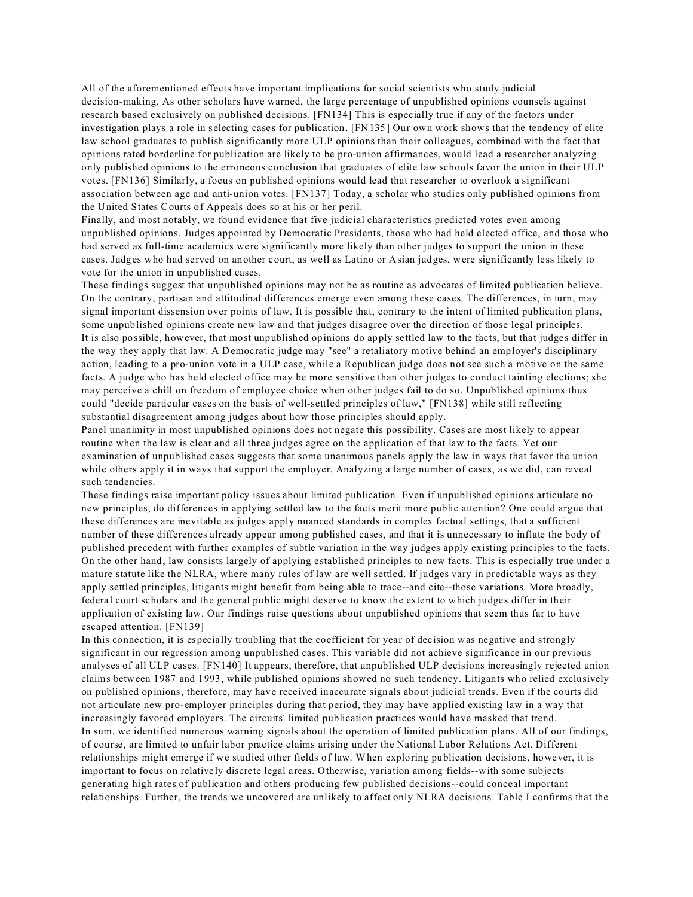All of the aforementioned effects have important implications for social scientists who study judicial decision-making. As other scholars have warned, the large percentage of unpublished opinions counsels against research based exclusively on published decisions. [FN134] This is especially true if any of the factors under investigation plays a role in selecting cases for publication. [FN135] Our own work shows that the tendency of elite law school graduates to publish significantly more ULP opinions than their colleagues, combined with the fact that opinions rated borderline for publication are likely to be pro-union affirmances, would lead a researcher analyzing only published opinions to the erroneous conclusion that graduates of elite law schools favor the union in their ULP votes. [FN136] Similarly, a focus on published opinions would lead that researcher to overlook a significant association between age and anti-union votes. [FN137] Today, a scholar who studies only published opinions from the United States Courts of Appeals does so at his or her peril.

Finally, and most notably, we found evidence that five judicial characteristics predicted votes even among unpublished opinions. Judges appointed by Democratic Presidents, those who had held elected office, and those who had served as full-time academics were significantly more likely than other judges to support the union in these cases. Judges who had served on another court, as well as Latino or Asian judges, were significantly less likely to vote for the union in unpublished cases.

These findings suggest that unpublished opinions may not be as routine as advocates of limited publication believe. On the contrary, partisan and attitudinal differences emerge even among these cases. The differences, in turn, may signal important dissension over points of law. It is possible that, contrary to the intent of limited publication plans, some unpublished opinions create new law and that judges disagree over the direction of those legal principles. It is also possible, however, that most unpublished opinions do apply settled law to the facts, but that judges differ in the way they apply that law. A Democratic judge may "see" a retaliatory motive behind an employer's disciplinary action, leading to a pro-union vote in a ULP case, while a Republican judge does not see such a motive on the same facts. A judge who has held elected office may be more sensitive than other judges to conduct tainting elections; she may perceive a chill on freedom of employee choice when other judges fail to do so. Unpublished opinions thus could "decide particular cases on the basis of well-settled principles of law," [FN138] while still reflecting substantial disagreement among judges about how those principles should apply.

Panel unanimity in most unpublished opinions does not negate this possibility. Cases are most likely to appear routine when the law is clear and all three judges agree on the application of that law to the facts. Yet our examination of unpublished cases suggests that some unanimous panels apply the law in ways that favor the union while others apply it in ways that support the employer. Analyzing a large number of cases, as we did, can reveal such tendencies.

These findings raise important policy issues about limited publication. Even if unpublished opinions articulate no new principles, do differences in applying settled law to the facts merit more public attention? One could argue that these differences are inevitable as judges apply nuanced standards in complex factual settings, that a sufficient number of these differences already appear among published cases, and that it is unnecessary to inflate the body of published precedent with further examples of subtle variation in the way judges apply existing principles to the facts. On the other hand, law consists largely of applying established principles to new facts. This is especially true under a mature statute like the NLRA, where many rules of law are well settled. If judges vary in predictable ways as they apply settled principles, litigants might benefit from being able to trace--and cite--those variations. More broadly, federal court scholars and the general public might deserve to know the extent to which judges differ in their application of existing law. Our findings raise questions about unpublished opinions that seem thus far to have escaped attention. [FN139]

In this connection, it is especially troubling that the coefficient for year of decision was negative and strongly significant in our regression among unpublished cases. This variable did not achieve significance in our previous analyses of all ULP cases. [FN140] It appears, therefore, that unpublished ULP decisions increasingly rejected union claims between 1987 and 1993, while published opinions showed no such tendency. Litigants who relied exclusively on published opinions, therefore, may have received inaccurate signals about judicial trends. Even if the courts did not articulate new pro-employer principles during that period, they may have applied existing law in a way that increasingly favored employers. The circuits' limited publication practices would have masked that trend. In sum, we identified numerous warning signals about the operation of limited publication plans. All of our findings, of course, are limited to unfair labor practice claims arising under the National Labor Relations Act. Different relationships might emerge if we studied other fields of law. When exploring publication decisions, however, it is important to focus on relatively discrete legal areas. Otherwise, variation among fields--with some subjects generating high rates of publication and others producing few published decisions--could conceal important relationships. Further, the trends we uncovered are unlikely to affect only NLRA decisions. Table I confirms that the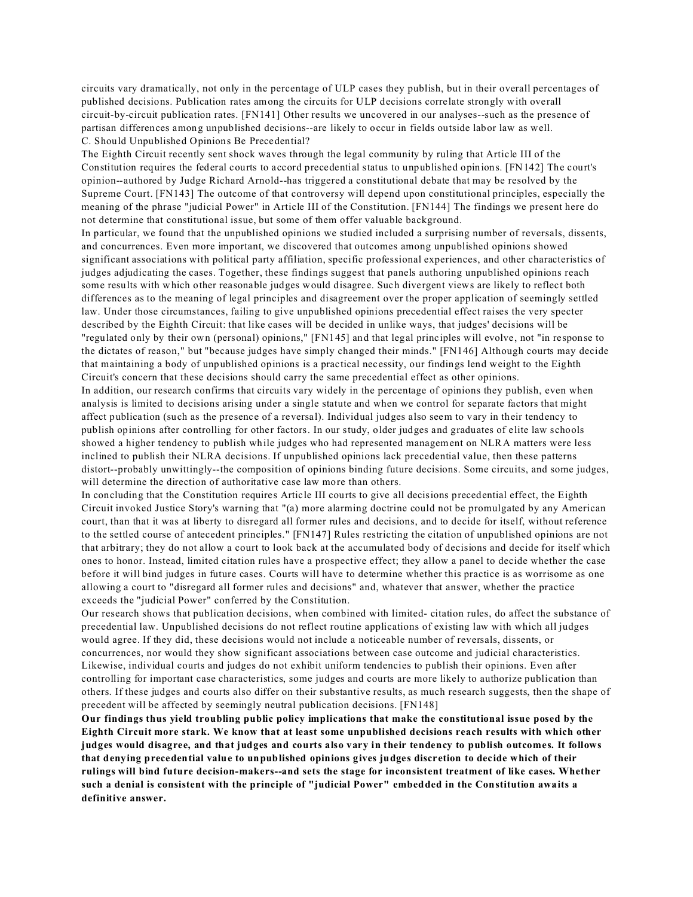circuits vary dramatically, not only in the percentage of ULP cases they publish, but in their overall percentages of published decisions. Publication rates among the circuits for ULP decisions correlate strongly with overall circuit-by-circuit publication rates. [FN141] Other results we uncovered in our analyses--such as the presence of partisan differences among unpublished decisions--are likely to occur in fields outside labor law as well. C. Should Unpublished Opinions Be Precedential?

The Eighth Circuit recently sent shock waves through the legal community by ruling that Article III of the Constitution requires the federal courts to accord precedential status to unpublished opinions. [FN142] The court's opinion--authored by Judge Richard Arnold--has triggered a constitutional debate that may be resolved by the Supreme Court. [FN143] The outcome of that controversy will depend upon constitutional principles, especially the meaning of the phrase "judicial Power" in Article III of the Constitution. [FN144] The findings we present here do not determine that constitutional issue, but some of them offer valuable background.

In particular, we found that the unpublished opinions we studied included a surprising number of reversals, dissents, and concurrences. Even more important, we discovered that outcomes among unpublished opinions showed significant associations with political party affiliation, specific professional experiences, and other characteristics of judges adjudicating the cases. Together, these findings suggest that panels authoring unpublished opinions reach some results with which other reasonable judges would disagree. Such divergent views are likely to reflect both differences as to the meaning of legal principles and disagreement over the proper application of seemingly settled law. Under those circumstances, failing to give unpublished opinions precedential effect raises the very specter described by the Eighth Circuit: that like cases will be decided in unlike ways, that judges' decisions will be "regulated only by their own (personal) opinions," [FN145] and that legal principles will evolve, not "in response to the dictates of reason," but "because judges have simply changed their minds." [FN146] Although courts may decide that maintaining a body of unpublished opinions is a practical necessity, our findings lend weight to the Eighth Circuit's concern that these decisions should carry the same precedential effect as other opinions.

In addition, our research confirms that circuits vary widely in the percentage of opinions they publish, even when analysis is limited to decisions arising under a single statute and when we control for separate factors that might affect publication (such as the presence of a reversal). Individual judges also seem to vary in their tendency to publish opinions after controlling for other factors. In our study, older judges and graduates of elite law schools showed a higher tendency to publish while judges who had represented management on NLRA matters were less inclined to publish their NLRA decisions. If unpublished opinions lack precedential value, then these patterns distort--probably unwittingly--the composition of opinions binding future decisions. Some circuits, and some judges, will determine the direction of authoritative case law more than others.

In concluding that the Constitution requires Article III courts to give all decisions precedential effect, the Eighth Circuit invoked Justice Story's warning that "(a) more alarming doctrine could not be promulgated by any American court, than that it was at liberty to disregard all former rules and decisions, and to decide for itself, without reference to the settled course of antecedent principles." [FN147] Rules restricting the citation of unpublished opinions are not that arbitrary; they do not allow a court to look back at the accumulated body of decisions and decide for itself which ones to honor. Instead, limited citation rules have a prospective effect; they allow a panel to decide whether the case before it will bind judges in future cases. Courts will have to determine whether this practice is as worrisome as one allowing a court to "disregard all former rules and decisions" and, whatever that answer, whether the practice exceeds the "judicial Power" conferred by the Constitution.

Our research shows that publication decisions, when combined with limited- citation rules, do affect the substance of precedential law. Unpublished decisions do not reflect routine applications of existing law with which all judges would agree. If they did, these decisions would not include a noticeable number of reversals, dissents, or concurrences, nor would they show significant associations between case outcome and judicial characteristics. Likewise, individual courts and judges do not exhibit uniform tendencies to publish their opinions. Even after controlling for important case characteristics, some judges and courts are more likely to authorize publication than others. If these judges and courts also differ on their substantive results, as much research suggests, then the shape of precedent will be affected by seemingly neutral publication decisions. [FN148]

**Our findings thus yield troubling public policy implications that make the constitutional issue posed by the Eighth Circuit more stark. We know that at least some unpublished decisions reach results with which other judges would disagree, and that judges and courts also vary in their tendency to publish outcomes. It follows that denying precedential value to unpublished opinions gives judges discretion to decide which of their rulings will bind future decision-makers--and sets the stage for inconsistent treatment of like cases. Whether such a denial is consistent with the principle of "judicial Power" embedded in the Constitution awaits a definitive answer.**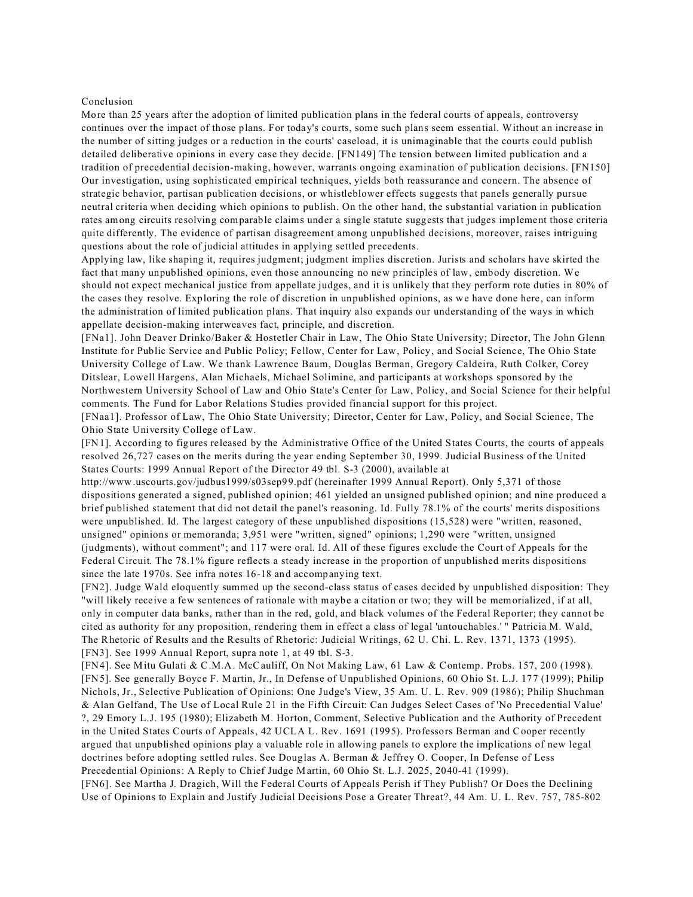#### Conclusion

More than 25 years after the adoption of limited publication plans in the federal courts of appeals, controversy continues over the impact of those plans. For today's courts, some such plans seem essential. Without an increase in the number of sitting judges or a reduction in the courts' caseload, it is unimaginable that the courts could publish detailed deliberative opinions in every case they decide. [FN149] The tension between limited publication and a tradition of precedential decision-making, however, warrants ongoing examination of publication decisions. [FN150] Our investigation, using sophisticated empirical techniques, yields both reassurance and concern. The absence of strategic behavior, partisan publication decisions, or whistleblower effects suggests that panels generally pursue neutral criteria when deciding which opinions to publish. On the other hand, the substantial variation in publication rates among circuits resolving comparable claims under a single statute suggests that judges implement those criteria quite differently. The evidence of partisan disagreement among unpublished decisions, moreover, raises intriguing questions about the role of judicial attitudes in applying settled precedents.

Applying law, like shaping it, requires judgment; judgment implies discretion. Jurists and scholars have skirted the fact that many unpublished opinions, even those announcing no new principles of law, embody discretion. We should not expect mechanical justice from appellate judges, and it is unlikely that they perform rote duties in 80% of the cases they resolve. Exploring the role of discretion in unpublished opinions, as we have done here, can inform the administration of limited publication plans. That inquiry also expands our understanding of the ways in which appellate decision-making interweaves fact, principle, and discretion.

[FNa1]. John Deaver Drinko/Baker & Hostetler Chair in Law, The Ohio State University; Director, The John Glenn Institute for Public Service and Public Policy; Fellow, Center for Law, Policy, and Social Science, The Ohio State University College of Law. We thank Lawrence Baum, Douglas Berman, Gregory Caldeira, Ruth Colker, Corey Ditslear, Lowell Hargens, Alan Michaels, Michael Solimine, and participants at workshops sponsored by the Northwestern University School of Law and Ohio State's Center for Law, Policy, and Social Science for their helpful comments. The Fund for Labor Relations Studies provided financial support for this project.

[FNaa1]. Professor of Law, The Ohio State University; Director, Center for Law, Policy, and Social Science, The Ohio State University College of Law.

[FN1]. According to figures released by the Administrative Office of the United States Courts, the courts of appeals resolved 26,727 cases on the merits during the year ending September 30, 1999. Judicial Business of the United States Courts: 1999 Annual Report of the Director 49 tbl. S-3 (2000), available at

http://www.uscourts.gov/judbus1999/s03sep99.pdf (hereinafter 1999 Annual Report). Only 5,371 of those dispositions generated a signed, published opinion; 461 yielded an unsigned published opinion; and nine produced a brief published statement that did not detail the panel's reasoning. Id. Fully 78.1% of the courts' merits dispositions were unpublished. Id. The largest category of these unpublished dispositions (15,528) were "written, reasoned, unsigned" opinions or memoranda; 3,951 were "written, signed" opinions; 1,290 were "written, unsigned (judgments), without comment"; and 117 were oral. Id. All of these figures exclude the Court of Appeals for the Federal Circuit. The 78.1% figure reflects a steady increase in the proportion of unpublished merits dispositions since the late 1970s. See infra notes 16-18 and accompanying text.

[FN2]. Judge Wald eloquently summed up the second-class status of cases decided by unpublished disposition: They "will likely receive a few sentences of rationale with maybe a citation or two; they will be memorialized, if at all, only in computer data banks, rather than in the red, gold, and black volumes of the Federal Reporter; they cannot be cited as authority for any proposition, rendering them in effect a class of legal 'untouchables.' " Patricia M. Wald, The Rhetoric of Results and the Results of Rhetoric: Judicial Writings, 62 U. Chi. L. Rev. 1371, 1373 (1995). [FN3]. See 1999 Annual Report, supra note 1, at 49 tbl. S-3.

[FN4]. See Mitu Gulati & C.M.A. McCauliff, On Not Making Law, 61 Law & Contemp. Probs. 157, 200 (1998). [FN5]. See generally Boyce F. Martin, Jr., In Defense of Unpublished Opinions, 60 Ohio St. L.J. 177 (1999); Philip Nichols, Jr., Selective Publication of Opinions: One Judge's View, 35 Am. U. L. Rev. 909 (1986); Philip Shuchman & Alan Gelfand, The Use of Local Rule 21 in the Fifth Circuit: Can Judges Select Cases of 'No Precedential Value' ?, 29 Emory L.J. 195 (1980); Elizabeth M. Horton, Comment, Selective Publication and the Authority of Precedent in the United States Courts of Appeals, 42 UCLA L. Rev. 1691 (1995). Professors Berman and Cooper recently argued that unpublished opinions play a valuable role in allowing panels to explore the implications of new legal doctrines before adopting settled rules. See Douglas A. Berman & Jeffrey O. Cooper, In Defense of Less Precedential Opinions: A Reply to Chief Judge Martin, 60 Ohio St. L.J. 2025, 2040-41 (1999).

[FN6]. See Martha J. Dragich, Will the Federal Courts of Appeals Perish if They Publish? Or Does the Declining Use of Opinions to Explain and Justify Judicial Decisions Pose a Greater Threat?, 44 Am. U. L. Rev. 757, 785-802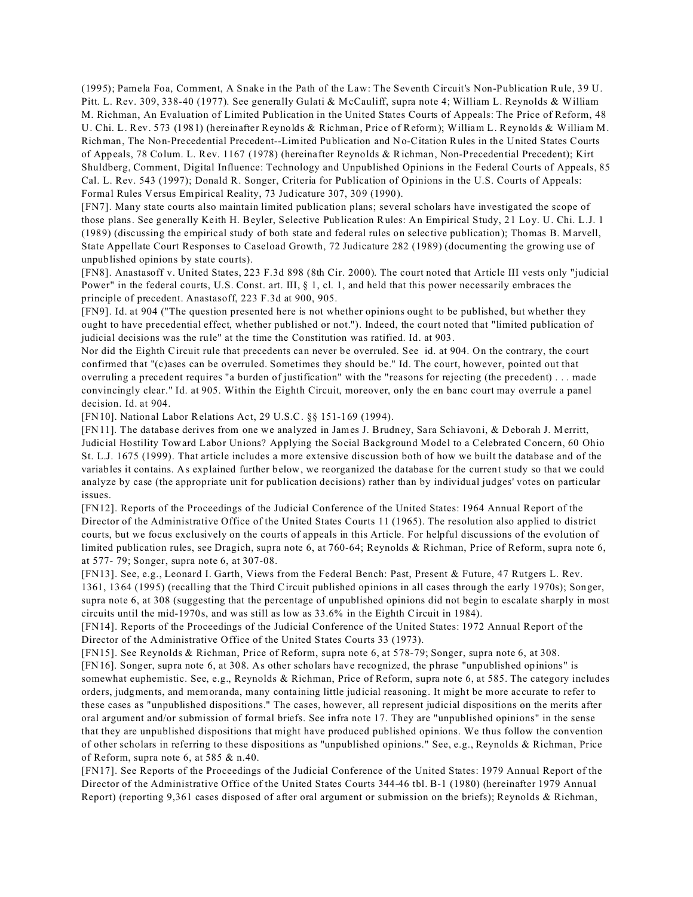(1995); Pamela Foa, Comment, A Snake in the Path of the Law: The Seventh Circuit's Non-Publication Rule, 39 U. Pitt. L. Rev. 309, 338-40 (1977). See generally Gulati & McCauliff, supra note 4; William L. Reynolds & William M. Richman, An Evaluation of Limited Publication in the United States Courts of Appeals: The Price of Reform, 48 U. Chi. L. Rev. 573 (1981) (hereinafter Reynolds & Richman, Price of Reform); William L. Reynolds & William M. Richman, The Non-Precedential Precedent--Limited Publication and No-Citation Rules in the United States Courts of Appeals, 78 Colum. L. Rev. 1167 (1978) (hereinafter Reynolds & Richman, Non-Precedential Precedent); Kirt Shuldberg, Comment, Digital Influence: Technology and Unpublished Opinions in the Federal Courts of Appeals, 85 Cal. L. Rev. 543 (1997); Donald R. Songer, Criteria for Publication of Opinions in the U.S. Courts of Appeals: Formal Rules Versus Empirical Reality, 73 Judicature 307, 309 (1990).

[FN7]. Many state courts also maintain limited publication plans; several scholars have investigated the scope of those plans. See generally Keith H. Beyler, Selective Publication Rules: An Empirical Study, 21 Loy. U. Chi. L.J. 1 (1989) (discussing the empirical study of both state and federal rules on selective publication); Thomas B. Marvell, State Appellate Court Responses to Caseload Growth, 72 Judicature 282 (1989) (documenting the growing use of unpublished opinions by state courts).

[FN8]. Anastasoff v. United States, 223 F.3d 898 (8th Cir. 2000). The court noted that Article III vests only "judicial Power" in the federal courts, U.S. Const. art. III, § 1, cl. 1, and held that this power necessarily embraces the principle of precedent. Anastasoff, 223 F.3d at 900, 905.

[FN9]. Id. at 904 ("The question presented here is not whether opinions ought to be published, but whether they ought to have precedential effect, whether published or not."). Indeed, the court noted that "limited publication of judicial decisions was the rule" at the time the Constitution was ratified. Id. at 903.

Nor did the Eighth Circuit rule that precedents can never be overruled. See id. at 904. On the contrary, the court confirmed that "(c)ases can be overruled. Sometimes they should be." Id. The court, however, pointed out that overruling a precedent requires "a burden of justification" with the "reasons for rejecting (the precedent) . . . made convincingly clear." Id. at 905. Within the Eighth Circuit, moreover, only the en banc court may overrule a panel decision. Id. at 904.

[FN10]. National Labor Relations Act, 29 U.S.C. §§ 151-169 (1994).

[FN11]. The database derives from one we analyzed in James J. Brudney, Sara Schiavoni, & Deborah J. Merritt, Judicial Hostility Toward Labor Unions? Applying the Social Background Model to a Celebrated Concern, 60 Ohio St. L.J. 1675 (1999). That article includes a more extensive discussion both of how we built the database and of the variables it contains. As explained further below, we reorganized the database for the current study so that we could analyze by case (the appropriate unit for publication decisions) rather than by individual judges' votes on particular issues.

[FN12]. Reports of the Proceedings of the Judicial Conference of the United States: 1964 Annual Report of the Director of the Administrative Office of the United States Courts 11 (1965). The resolution also applied to district courts, but we focus exclusively on the courts of appeals in this Article. For helpful discussions of the evolution of limited publication rules, see Dragich, supra note 6, at 760-64; Reynolds & Richman, Price of Reform, supra note 6, at 577- 79; Songer, supra note 6, at 307-08.

[FN13]. See, e.g., Leonard I. Garth, Views from the Federal Bench: Past, Present & Future, 47 Rutgers L. Rev. 1361, 1364 (1995) (recalling that the Third Circuit published opinions in all cases through the early 1970s); Songer, supra note 6, at 308 (suggesting that the percentage of unpublished opinions did not begin to escalate sharply in most circuits until the mid-1970s, and was still as low as 33.6% in the Eighth Circuit in 1984).

[FN14]. Reports of the Proceedings of the Judicial Conference of the United States: 1972 Annual Report of the Director of the Administrative Office of the United States Courts 33 (1973).

[FN15]. See Reynolds & Richman, Price of Reform, supra note 6, at 578-79; Songer, supra note 6, at 308.

[FN16]. Songer, supra note 6, at 308. As other scholars have recognized, the phrase "unpublished opinions" is somewhat euphemistic. See, e.g., Reynolds & Richman, Price of Reform, supra note 6, at 585. The category includes orders, judgments, and memoranda, many containing little judicial reasoning. It might be more accurate to refer to these cases as "unpublished dispositions." The cases, however, all represent judicial dispositions on the merits after oral argument and/or submission of formal briefs. See infra note 17. They are "unpublished opinions" in the sense that they are unpublished dispositions that might have produced published opinions. We thus follow the convention of other scholars in referring to these dispositions as "unpublished opinions." See, e.g., Reynolds & Richman, Price of Reform, supra note 6, at 585 & n.40.

[FN17]. See Reports of the Proceedings of the Judicial Conference of the United States: 1979 Annual Report of the Director of the Administrative Office of the United States Courts 344-46 tbl. B-1 (1980) (hereinafter 1979 Annual Report) (reporting 9,361 cases disposed of after oral argument or submission on the briefs); Reynolds & Richman,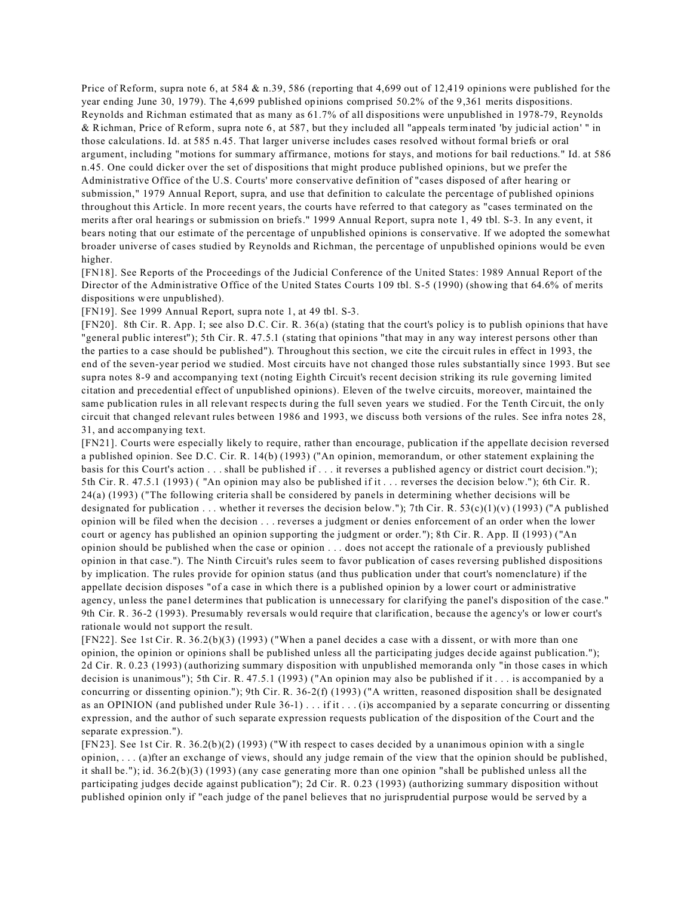Price of Reform, supra note 6, at 584 & n.39, 586 (reporting that 4,699 out of 12,419 opinions were published for the year ending June 30, 1979). The 4,699 published opinions comprised 50.2% of the 9,361 merits dispositions. Reynolds and Richman estimated that as many as 61.7% of all dispositions were unpublished in 1978-79, Reynolds & Richman, Price of Reform, supra note 6, at 587, but they included all "appeals terminated 'by judicial action' " in those calculations. Id. at 585 n.45. That larger universe includes cases resolved without formal briefs or oral argument, including "motions for summary affirmance, motions for stays, and motions for bail reductions." Id. at 586 n.45. One could dicker over the set of dispositions that might produce published opinions, but we prefer the Administrative Office of the U.S. Courts' more conservative definition of "cases disposed of after hearing or submission," 1979 Annual Report, supra, and use that definition to calculate the percentage of published opinions throughout this Article. In more recent years, the courts have referred to that category as "cases terminated on the merits after oral hearings or submission on briefs." 1999 Annual Report, supra note 1, 49 tbl. S-3. In any event, it bears noting that our estimate of the percentage of unpublished opinions is conservative. If we adopted the somewhat broader universe of cases studied by Reynolds and Richman, the percentage of unpublished opinions would be even higher.

[FN18]. See Reports of the Proceedings of the Judicial Conference of the United States: 1989 Annual Report of the Director of the Administrative Office of the United States Courts 109 tbl. S-5 (1990) (showing that 64.6% of merits dispositions were unpublished).

[FN19]. See 1999 Annual Report, supra note 1, at 49 tbl. S-3.

[FN20]. 8th Cir. R. App. I; see also D.C. Cir. R. 36(a) (stating that the court's policy is to publish opinions that have "general public interest"); 5th Cir. R. 47.5.1 (stating that opinions "that may in any way interest persons other than the parties to a case should be published"). Throughout this section, we cite the circuit rules in effect in 1993, the end of the seven-year period we studied. Most circuits have not changed those rules substantially since 1993. But see supra notes 8-9 and accompanying text (noting Eighth Circuit's recent decision striking its rule governing limited citation and precedential effect of unpublished opinions). Eleven of the twelve circuits, moreover, maintained the same publication rules in all relevant respects during the full seven years we studied. For the Tenth Circuit, the only circuit that changed relevant rules between 1986 and 1993, we discuss both versions of the rules. See infra notes 28, 31, and accompanying text.

[FN21]. Courts were especially likely to require, rather than encourage, publication if the appellate decision reversed a published opinion. See D.C. Cir. R. 14(b) (1993) ("An opinion, memorandum, or other statement explaining the basis for this Court's action . . . shall be published if . . . it reverses a published agency or district court decision."); 5th Cir. R. 47.5.1 (1993) ( "An opinion may also be published if it . . . reverses the decision below."); 6th Cir. R. 24(a) (1993) ("The following criteria shall be considered by panels in determining whether decisions will be designated for publication ... whether it reverses the decision below."); 7th Cir. R. 53(c)(1)(v) (1993) ("A published opinion will be filed when the decision . . . reverses a judgment or denies enforcement of an order when the lower court or agency has published an opinion supporting the judgment or order."); 8th Cir. R. App. II (1993) ("An opinion should be published when the case or opinion . . . does not accept the rationale of a previously published opinion in that case."). The Ninth Circuit's rules seem to favor publication of cases reversing published dispositions by implication. The rules provide for opinion status (and thus publication under that court's nomenclature) if the appellate decision disposes "of a case in which there is a published opinion by a lower court or administrative agency, unless the panel determines that publication is unnecessary for clarifying the panel's disposition of the case." 9th Cir. R. 36-2 (1993). Presumably reversals would require that clarification, because the agency's or lower court's rationale would not support the result.

[FN22]. See 1st Cir. R. 36.2(b)(3) (1993) ("When a panel decides a case with a dissent, or with more than one opinion, the opinion or opinions shall be published unless all the participating judges decide against publication."); 2d Cir. R. 0.23 (1993) (authorizing summary disposition with unpublished memoranda only "in those cases in which decision is unanimous"); 5th Cir. R. 47.5.1 (1993) ("An opinion may also be published if it . . . is accompanied by a concurring or dissenting opinion."); 9th Cir. R. 36-2(f) (1993) ("A written, reasoned disposition shall be designated as an OPINION (and published under Rule 36-1) . . . if it . . . (i)s accompanied by a separate concurring or dissenting expression, and the author of such separate expression requests publication of the disposition of the Court and the separate expression.").

[FN23]. See 1st Cir. R. 36.2(b)(2) (1993) ("W ith respect to cases decided by a unanimous opinion with a single opinion, . . . (a)fter an exchange of views, should any judge remain of the view that the opinion should be published, it shall be."); id. 36.2(b)(3) (1993) (any case generating more than one opinion "shall be published unless all the participating judges decide against publication"); 2d Cir. R. 0.23 (1993) (authorizing summary disposition without published opinion only if "each judge of the panel believes that no jurisprudential purpose would be served by a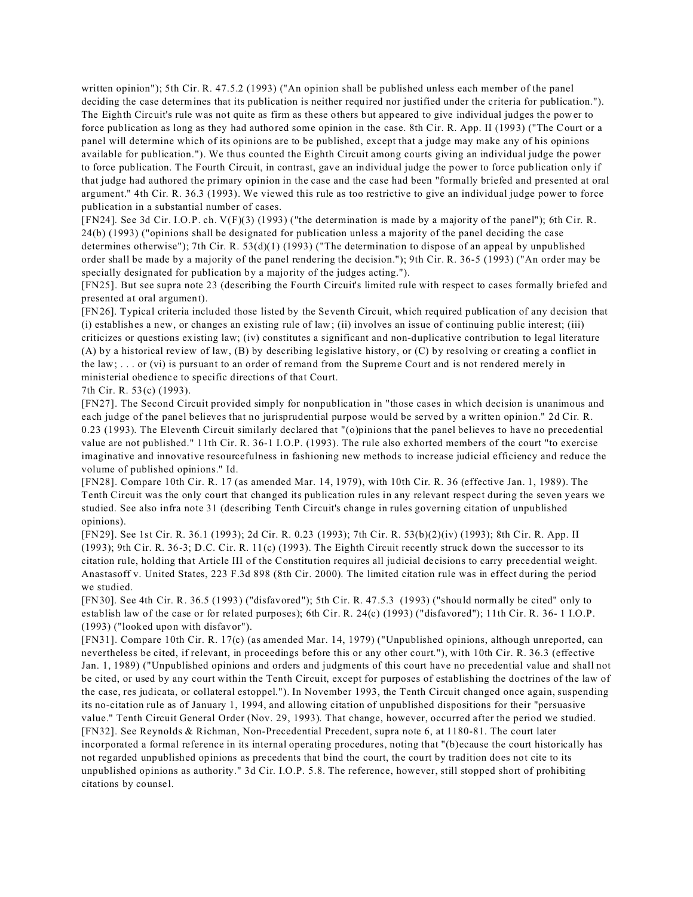written opinion"); 5th Cir. R. 47.5.2 (1993) ("An opinion shall be published unless each member of the panel deciding the case determines that its publication is neither required nor justified under the criteria for publication."). The Eighth Circuit's rule was not quite as firm as these others but appeared to give individual judges the power to force publication as long as they had authored some opinion in the case. 8th Cir. R. App. II (1993) ("The Court or a panel will determine which of its opinions are to be published, except that a judge may make any of his opinions available for publication."). We thus counted the Eighth Circuit among courts giving an individual judge the power to force publication. The Fourth Circuit, in contrast, gave an individual judge the power to force publication only if that judge had authored the primary opinion in the case and the case had been "formally briefed and presented at oral argument." 4th Cir. R. 36.3 (1993). We viewed this rule as too restrictive to give an individual judge power to force publication in a substantial number of cases.

[FN24]. See 3d Cir. I.O.P. ch. V(F)(3) (1993) ("the determination is made by a majority of the panel"); 6th Cir. R. 24(b) (1993) ("opinions shall be designated for publication unless a majority of the panel deciding the case determines otherwise"); 7th Cir. R. 53(d)(1) (1993) ("The determination to dispose of an appeal by unpublished order shall be made by a majority of the panel rendering the decision."); 9th Cir. R. 36-5 (1993) ("An order may be specially designated for publication by a majority of the judges acting.").

[FN25]. But see supra note 23 (describing the Fourth Circuit's limited rule with respect to cases formally briefed and presented at oral argument).

[FN26]. Typical criteria included those listed by the Seventh Circuit, which required publication of any decision that (i) establishes a new, or changes an existing rule of law; (ii) involves an issue of continuing public interest; (iii) criticizes or questions existing law; (iv) constitutes a significant and non-duplicative contribution to legal literature (A) by a historical review of law, (B) by describing legislative history, or (C) by resolving or creating a conflict in the law; . . . or (vi) is pursuant to an order of remand from the Supreme Court and is not rendered merely in ministerial obedience to specific directions of that Court.

7th Cir. R. 53(c) (1993).

[FN27]. The Second Circuit provided simply for nonpublication in "those cases in which decision is unanimous and each judge of the panel believes that no jurisprudential purpose would be served by a written opinion." 2d Cir. R. 0.23 (1993). The Eleventh Circuit similarly declared that "(o)pinions that the panel believes to have no precedential value are not published." 11th Cir. R. 36-1 I.O.P. (1993). The rule also exhorted members of the court "to exercise imaginative and innovative resourcefulness in fashioning new methods to increase judicial efficiency and reduce the volume of published opinions." Id.

[FN28]. Compare 10th Cir. R. 17 (as amended Mar. 14, 1979), with 10th Cir. R. 36 (effective Jan. 1, 1989). The Tenth Circuit was the only court that changed its publication rules in any relevant respect during the seven years we studied. See also infra note 31 (describing Tenth Circuit's change in rules governing citation of unpublished opinions).

[FN29]. See 1st Cir. R. 36.1 (1993); 2d Cir. R. 0.23 (1993); 7th Cir. R. 53(b)(2)(iv) (1993); 8th Cir. R. App. II (1993); 9th Cir. R. 36-3; D.C. Cir. R. 11(c) (1993). The Eighth Circuit recently struck down the successor to its citation rule, holding that Article III of the Constitution requires all judicial decisions to carry precedential weight. Anastasoff v. United States, 223 F.3d 898 (8th Cir. 2000). The limited citation rule was in effect during the period we studied.

[FN30]. See 4th Cir. R. 36.5 (1993) ("disfavored"); 5th Cir. R. 47.5.3 (1993) ("should normally be cited" only to establish law of the case or for related purposes); 6th Cir. R. 24(c) (1993) ("disfavored"); 11th Cir. R. 36- 1 I.O.P. (1993) ("looked upon with disfavor").

[FN31]. Compare 10th Cir. R. 17(c) (as amended Mar. 14, 1979) ("Unpublished opinions, although unreported, can nevertheless be cited, if relevant, in proceedings before this or any other court."), with 10th Cir. R. 36.3 (effective Jan. 1, 1989) ("Unpublished opinions and orders and judgments of this court have no precedential value and shall not be cited, or used by any court within the Tenth Circuit, except for purposes of establishing the doctrines of the law of the case, res judicata, or collateral estoppel."). In November 1993, the Tenth Circuit changed once again, suspending its no-citation rule as of January 1, 1994, and allowing citation of unpublished dispositions for their "persuasive value." Tenth Circuit General Order (Nov. 29, 1993). That change, however, occurred after the period we studied. [FN32]. See Reynolds & Richman, Non-Precedential Precedent, supra note 6, at 1180-81. The court later incorporated a formal reference in its internal operating procedures, noting that "(b)ecause the court historically has not regarded unpublished opinions as precedents that bind the court, the court by tradition does not cite to its unpublished opinions as authority." 3d Cir. I.O.P. 5.8. The reference, however, still stopped short of prohibiting citations by counsel.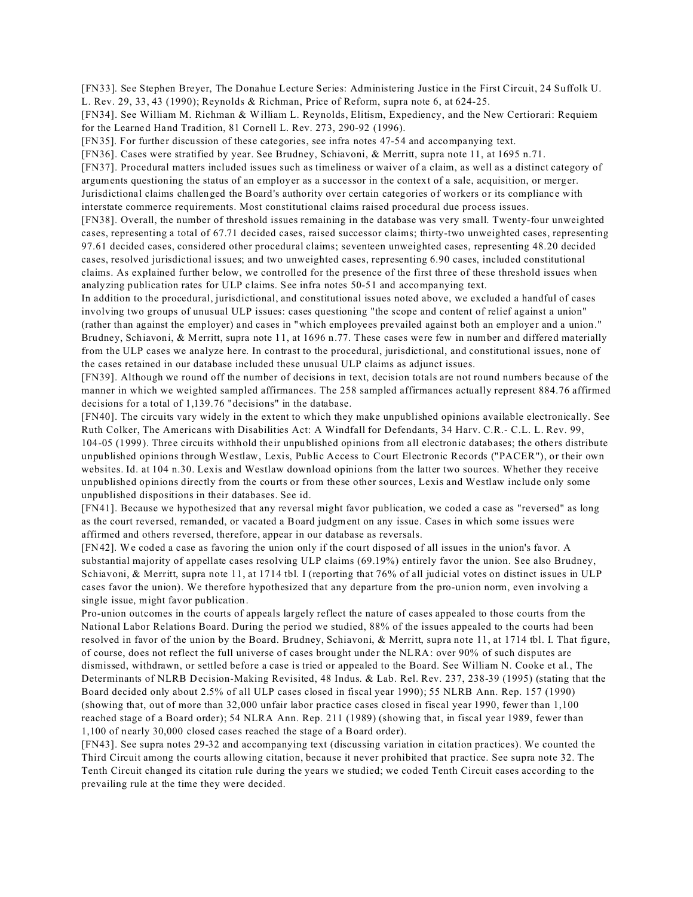[FN33]. See Stephen Breyer, The Donahue Lecture Series: Administering Justice in the First Circuit, 24 Suffolk U. L. Rev. 29, 33, 43 (1990); Reynolds & Richman, Price of Reform, supra note 6, at 624-25.

[FN34]. See William M. Richman & William L. Reynolds, Elitism, Expediency, and the New Certiorari: Requiem for the Learned Hand Tradition, 81 Cornell L. Rev. 273, 290-92 (1996).

[FN35]. For further discussion of these categories, see infra notes 47-54 and accompanying text.

[FN36]. Cases were stratified by year. See Brudney, Schiavoni, & Merritt, supra note 11, at 1695 n.71.

[FN37]. Procedural matters included issues such as timeliness or waiver of a claim, as well as a distinct category of arguments questioning the status of an employer as a successor in the context of a sale, acquisition, or merger. Jurisdictional claims challenged the Board's authority over certain categories of workers or its compliance with interstate commerce requirements. Most constitutional claims raised procedural due process issues.

[FN38]. Overall, the number of threshold issues remaining in the database was very small. Twenty-four unweighted cases, representing a total of 67.71 decided cases, raised successor claims; thirty-two unweighted cases, representing 97.61 decided cases, considered other procedural claims; seventeen unweighted cases, representing 48.20 decided cases, resolved jurisdictional issues; and two unweighted cases, representing 6.90 cases, included constitutional claims. As explained further below, we controlled for the presence of the first three of these threshold issues when analyzing publication rates for ULP claims. See infra notes 50-51 and accompanying text.

In addition to the procedural, jurisdictional, and constitutional issues noted above, we excluded a handful of cases involving two groups of unusual ULP issues: cases questioning "the scope and content of relief against a union" (rather than against the employer) and cases in "which employees prevailed against both an employer and a union." Brudney, Schiavoni, & Merritt, supra note 11, at 1696 n.77. These cases were few in number and differed materially from the ULP cases we analyze here. In contrast to the procedural, jurisdictional, and constitutional issues, none of the cases retained in our database included these unusual ULP claims as adjunct issues.

[FN39]. Although we round off the number of decisions in text, decision totals are not round numbers because of the manner in which we weighted sampled affirmances. The 258 sampled affirmances actually represent 884.76 affirmed decisions for a total of 1,139.76 "decisions" in the database.

[FN40]. The circuits vary widely in the extent to which they make unpublished opinions available electronically. See Ruth Colker, The Americans with Disabilities Act: A Windfall for Defendants, 34 Harv. C.R.- C.L. L. Rev. 99, 104-05 (1999). Three circuits withhold their unpublished opinions from all electronic databases; the others distribute unpublished opinions through Westlaw, Lexis, Public Access to Court Electronic Records ("PACER"), or their own websites. Id. at 104 n.30. Lexis and Westlaw download opinions from the latter two sources. Whether they receive unpublished opinions directly from the courts or from these other sources, Lexis and Westlaw include only some unpublished dispositions in their databases. See id.

[FN41]. Because we hypothesized that any reversal might favor publication, we coded a case as "reversed" as long as the court reversed, remanded, or vacated a Board judgment on any issue. Cases in which some issues were affirmed and others reversed, therefore, appear in our database as reversals.

[FN42]. We coded a case as favoring the union only if the court disposed of all issues in the union's favor. A substantial majority of appellate cases resolving ULP claims (69.19%) entirely favor the union. See also Brudney, Schiavoni, & Merritt, supra note 11, at 1714 tbl. I (reporting that 76% of all judicial votes on distinct issues in ULP cases favor the union). We therefore hypothesized that any departure from the pro-union norm, even involving a single issue, might favor publication.

Pro-union outcomes in the courts of appeals largely reflect the nature of cases appealed to those courts from the National Labor Relations Board. During the period we studied, 88% of the issues appealed to the courts had been resolved in favor of the union by the Board. Brudney, Schiavoni, & Merritt, supra note 11, at 1714 tbl. I. That figure, of course, does not reflect the full universe of cases brought under the NLRA: over 90% of such disputes are dismissed, withdrawn, or settled before a case is tried or appealed to the Board. See William N. Cooke et al., The Determinants of NLRB Decision-Making Revisited, 48 Indus. & Lab. Rel. Rev. 237, 238-39 (1995) (stating that the Board decided only about 2.5% of all ULP cases closed in fiscal year 1990); 55 NLRB Ann. Rep. 157 (1990) (showing that, out of more than 32,000 unfair labor practice cases closed in fiscal year 1990, fewer than 1,100 reached stage of a Board order); 54 NLRA Ann. Rep. 211 (1989) (showing that, in fiscal year 1989, fewer than 1,100 of nearly 30,000 closed cases reached the stage of a Board order).

[FN43]. See supra notes 29-32 and accompanying text (discussing variation in citation practices). We counted the Third Circuit among the courts allowing citation, because it never prohibited that practice. See supra note 32. The Tenth Circuit changed its citation rule during the years we studied; we coded Tenth Circuit cases according to the prevailing rule at the time they were decided.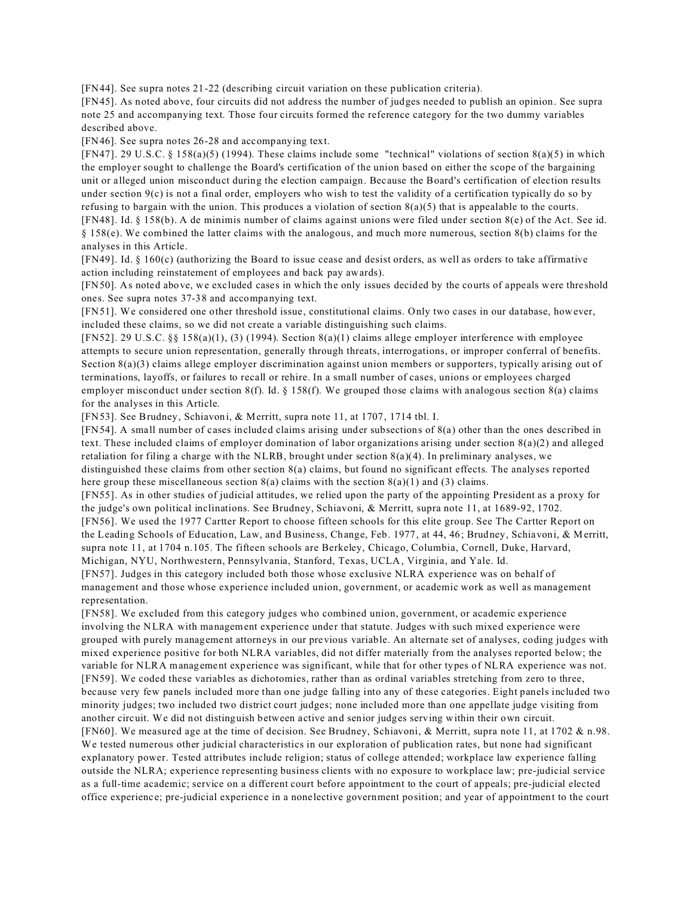[FN44]. See supra notes 21-22 (describing circuit variation on these publication criteria).

[FN45]. As noted above, four circuits did not address the number of judges needed to publish an opinion. See supra note 25 and accompanying text. Those four circuits formed the reference category for the two dummy variables described above.

[FN46]. See supra notes 26-28 and accompanying text.

[FN47]. 29 U.S.C. § 158(a)(5) (1994). These claims include some "technical" violations of section 8(a)(5) in which the employer sought to challenge the Board's certification of the union based on either the scope of the bargaining unit or alleged union misconduct during the election campaign. Because the Board's certification of election results under section 9(c) is not a final order, employers who wish to test the validity of a certification typically do so by refusing to bargain with the union. This produces a violation of section  $8(a)(5)$  that is appealable to the courts. [FN48]. Id. § 158(b). A de minimis number of claims against unions were filed under section 8(e) of the Act. See id.  $§$  158(e). We combined the latter claims with the analogous, and much more numerous, section 8(b) claims for the analyses in this Article.

[FN49]. Id.  $\S$  160(c) (authorizing the Board to issue cease and desist orders, as well as orders to take affirmative action including reinstatement of employees and back pay awards).

[FN50]. As noted above, we excluded cases in which the only issues decided by the courts of appeals were threshold ones. See supra notes 37-38 and accompanying text.

[FN51]. We considered one other threshold issue, constitutional claims. Only two cases in our database, however, included these claims, so we did not create a variable distinguishing such claims.

[FN52]. 29 U.S.C. §§ 158(a)(1), (3) (1994). Section 8(a)(1) claims allege employer interference with employee attempts to secure union representation, generally through threats, interrogations, or improper conferral of benefits. Section 8(a)(3) claims allege employer discrimination against union members or supporters, typically arising out of terminations, layoffs, or failures to recall or rehire. In a small number of cases, unions or employees charged employer misconduct under section  $8(f)$ . Id. § 158 $(f)$ . We grouped those claims with analogous section  $8(a)$  claims for the analyses in this Article.

[FN53]. See Brudney, Schiavoni, & Merritt, supra note 11, at 1707, 1714 tbl. I.

[FN54]. A small number of cases included claims arising under subsections of 8(a) other than the ones described in text. These included claims of employer domination of labor organizations arising under section 8(a)(2) and alleged retaliation for filing a charge with the NLRB, brought under section 8(a)(4). In preliminary analyses, we distinguished these claims from other section 8(a) claims, but found no significant effects. The analyses reported here group these miscellaneous section  $8(a)$  claims with the section  $8(a)(1)$  and  $(3)$  claims.

[FN55]. As in other studies of judicial attitudes, we relied upon the party of the appointing President as a proxy for the judge's own political inclinations. See Brudney, Schiavoni, & Merritt, supra note 11, at 1689-92, 1702.

[FN56]. We used the 1977 Cartter Report to choose fifteen schools for this elite group. See The Cartter Report on the Leading Schools of Education, Law, and Business, Change, Feb. 1977, at 44, 46; Brudney, Schiavoni, & Merritt, supra note 11, at 1704 n.105. The fifteen schools are Berkeley, Chicago, Columbia, Cornell, Duke, Harvard, Michigan, NYU, Northwestern, Pennsylvania, Stanford, Texas, UCLA, Virginia, and Yale. Id.

[FN57]. Judges in this category included both those whose exclusive NLRA experience was on behalf of management and those whose experience included union, government, or academic work as well as management representation.

[FN58]. We excluded from this category judges who combined union, government, or academic experience involving the NLRA with management experience under that statute. Judges with such mixed experience were grouped with purely management attorneys in our previous variable. An alternate set of analyses, coding judges with mixed experience positive for both NLRA variables, did not differ materially from the analyses reported below; the variable for NLRA management experience was significant, while that for other types of NLRA experience was not. [FN59]. We coded these variables as dichotomies, rather than as ordinal variables stretching from zero to three, because very few panels included more than one judge falling into any of these categories. Eight panels included two minority judges; two included two district court judges; none included more than one appellate judge visiting from another circuit. We did not distinguish between active and senior judges serving within their own circuit.

[FN60]. We measured age at the time of decision. See Brudney, Schiavoni, & Merritt, supra note 11, at 1702 & n.98. We tested numerous other judicial characteristics in our exploration of publication rates, but none had significant explanatory power. Tested attributes include religion; status of college attended; workplace law experience falling outside the NLRA; experience representing business clients with no exposure to workplace law; pre-judicial service as a full-time academic; service on a different court before appointment to the court of appeals; pre-judicial elected office experience; pre-judicial experience in a nonelective government position; and year of appointment to the court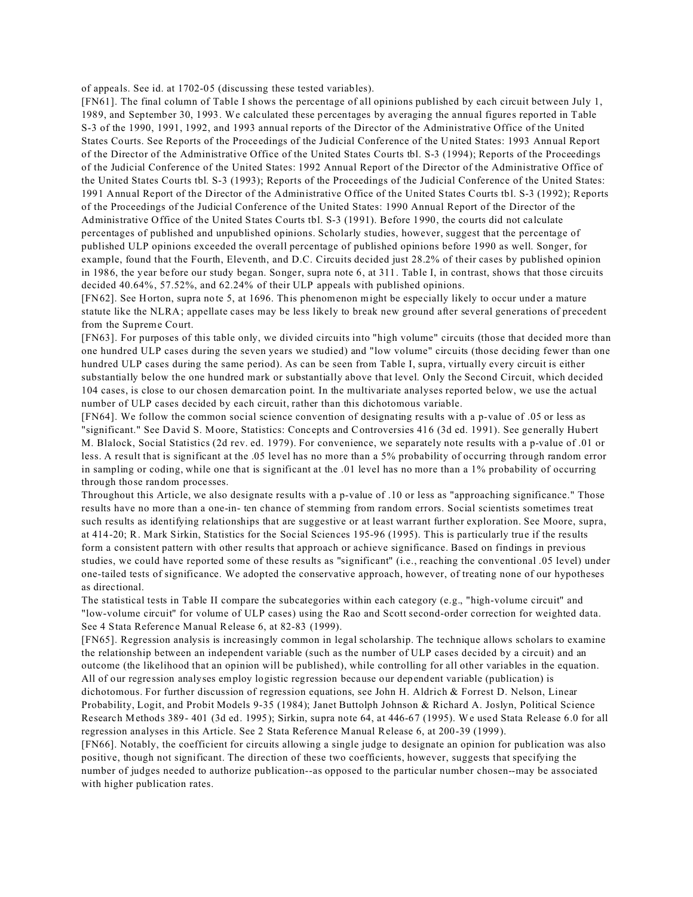of appeals. See id. at 1702-05 (discussing these tested variables).

[FN61]. The final column of Table I shows the percentage of all opinions published by each circuit between July 1, 1989, and September 30, 1993. We calculated these percentages by averaging the annual figures reported in Table S-3 of the 1990, 1991, 1992, and 1993 annual reports of the Director of the Administrative Office of the United States Courts. See Reports of the Proceedings of the Judicial Conference of the United States: 1993 Annual Report of the Director of the Administrative Office of the United States Courts tbl. S-3 (1994); Reports of the Proceedings of the Judicial Conference of the United States: 1992 Annual Report of the Director of the Administrative Office of the United States Courts tbl. S-3 (1993); Reports of the Proceedings of the Judicial Conference of the United States: 1991 Annual Report of the Director of the Administrative Office of the United States Courts tbl. S-3 (1992); Reports of the Proceedings of the Judicial Conference of the United States: 1990 Annual Report of the Director of the Administrative Office of the United States Courts tbl. S-3 (1991). Before 1990, the courts did not calculate percentages of published and unpublished opinions. Scholarly studies, however, suggest that the percentage of published ULP opinions exceeded the overall percentage of published opinions before 1990 as well. Songer, for example, found that the Fourth, Eleventh, and D.C. Circuits decided just 28.2% of their cases by published opinion in 1986, the year before our study began. Songer, supra note 6, at 311. Table I, in contrast, shows that those circuits decided 40.64%, 57.52%, and 62.24% of their ULP appeals with published opinions.

[FN62]. See Horton, supra note 5, at 1696. This phenomenon might be especially likely to occur under a mature statute like the NLRA; appellate cases may be less likely to break new ground after several generations of precedent from the Supreme Court.

[FN63]. For purposes of this table only, we divided circuits into "high volume" circuits (those that decided more than one hundred ULP cases during the seven years we studied) and "low volume" circuits (those deciding fewer than one hundred ULP cases during the same period). As can be seen from Table I, supra, virtually every circuit is either substantially below the one hundred mark or substantially above that level. Only the Second Circuit, which decided 104 cases, is close to our chosen demarcation point. In the multivariate analyses reported below, we use the actual number of ULP cases decided by each circuit, rather than this dichotomous variable.

[FN64]. We follow the common social science convention of designating results with a p-value of .05 or less as "significant." See David S. Moore, Statistics: Concepts and Controversies 416 (3d ed. 1991). See generally Hubert M. Blalock, Social Statistics (2d rev. ed. 1979). For convenience, we separately note results with a p-value of .01 or less. A result that is significant at the .05 level has no more than a 5% probability of occurring through random error in sampling or coding, while one that is significant at the .01 level has no more than a 1% probability of occurring through those random processes.

Throughout this Article, we also designate results with a p-value of .10 or less as "approaching significance." Those results have no more than a one-in- ten chance of stemming from random errors. Social scientists sometimes treat such results as identifying relationships that are suggestive or at least warrant further exploration. See Moore, supra, at 414-20; R. Mark Sirkin, Statistics for the Social Sciences 195-96 (1995). This is particularly true if the results form a consistent pattern with other results that approach or achieve significance. Based on findings in previous studies, we could have reported some of these results as "significant" (i.e., reaching the conventional .05 level) under one-tailed tests of significance. We adopted the conservative approach, however, of treating none of our hypotheses as directional.

The statistical tests in Table II compare the subcategories within each category (e.g., "high-volume circuit" and "low-volume circuit" for volume of ULP cases) using the Rao and Scott second-order correction for weighted data. See 4 Stata Reference Manual Release 6, at 82-83 (1999).

[FN65]. Regression analysis is increasingly common in legal scholarship. The technique allows scholars to examine the relationship between an independent variable (such as the number of ULP cases decided by a circuit) and an outcome (the likelihood that an opinion will be published), while controlling for all other variables in the equation. All of our regression analyses employ logistic regression because our dependent variable (publication) is dichotomous. For further discussion of regression equations, see John H. Aldrich & Forrest D. Nelson, Linear Probability, Logit, and Probit Models 9-35 (1984); Janet Buttolph Johnson & Richard A. Joslyn, Political Science Research Methods 389- 401 (3d ed. 1995); Sirkin, supra note 64, at 446-67 (1995). We used Stata Release 6.0 for all regression analyses in this Article. See 2 Stata Reference Manual Release 6, at 200-39 (1999).

[FN66]. Notably, the coefficient for circuits allowing a single judge to designate an opinion for publication was also positive, though not significant. The direction of these two coefficients, however, suggests that specifying the number of judges needed to authorize publication--as opposed to the particular number chosen--may be associated with higher publication rates.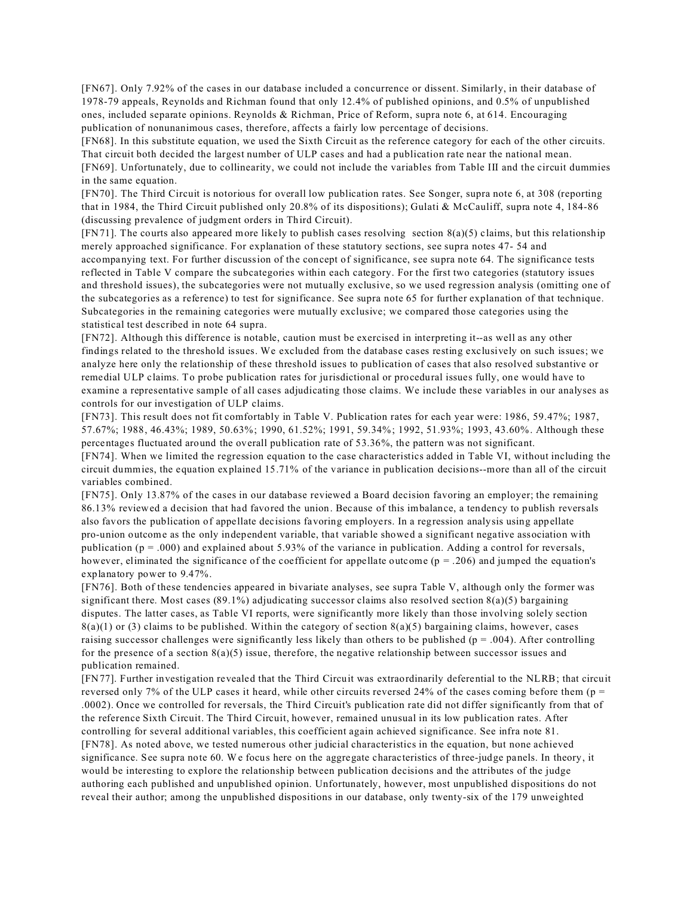[FN67]. Only 7.92% of the cases in our database included a concurrence or dissent. Similarly, in their database of 1978-79 appeals, Reynolds and Richman found that only 12.4% of published opinions, and 0.5% of unpublished ones, included separate opinions. Reynolds & Richman, Price of Reform, supra note 6, at 614. Encouraging publication of nonunanimous cases, therefore, affects a fairly low percentage of decisions.

[FN68]. In this substitute equation, we used the Sixth Circuit as the reference category for each of the other circuits. That circuit both decided the largest number of ULP cases and had a publication rate near the national mean. [FN69]. Unfortunately, due to collinearity, we could not include the variables from Table III and the circuit dummies in the same equation.

[FN70]. The Third Circuit is notorious for overall low publication rates. See Songer, supra note 6, at 308 (reporting that in 1984, the Third Circuit published only 20.8% of its dispositions); Gulati & McCauliff, supra note 4, 184-86 (discussing prevalence of judgment orders in Third Circuit).

 $[FN71]$ . The courts also appeared more likely to publish cases resolving section  $8(a)(5)$  claims, but this relationship merely approached significance. For explanation of these statutory sections, see supra notes 47- 54 and accompanying text. For further discussion of the concept of significance, see supra note 64. The significance tests reflected in Table V compare the subcategories within each category. For the first two categories (statutory issues and threshold issues), the subcategories were not mutually exclusive, so we used regression analysis (omitting one of the subcategories as a reference) to test for significance. See supra note 65 for further explanation of that technique. Subcategories in the remaining categories were mutually exclusive; we compared those categories using the statistical test described in note 64 supra.

[FN72]. Although this difference is notable, caution must be exercised in interpreting it--as well as any other findings related to the threshold issues. We excluded from the database cases resting exclusively on such issues; we analyze here only the relationship of these threshold issues to publication of cases that also resolved substantive or remedial ULP claims. To probe publication rates for jurisdictional or procedural issues fully, one would have to examine a representative sample of all cases adjudicating those claims. We include these variables in our analyses as controls for our investigation of ULP claims.

[FN73]. This result does not fit comfortably in Table V. Publication rates for each year were: 1986, 59.47%; 1987, 57.67%; 1988, 46.43%; 1989, 50.63%; 1990, 61.52%; 1991, 59.34%; 1992, 51.93%; 1993, 43.60%. Although these percentages fluctuated around the overall publication rate of 53.36%, the pattern was not significant.

[FN74]. When we limited the regression equation to the case characteristics added in Table VI, without including the circuit dummies, the equation explained 15.71% of the variance in publication decisions--more than all of the circuit variables combined.

[FN75]. Only 13.87% of the cases in our database reviewed a Board decision favoring an employer; the remaining 86.13% reviewed a decision that had favored the union. Because of this imbalance, a tendency to publish reversals also favors the publication of appellate decisions favoring employers. In a regression analysis using appellate pro-union outcome as the only independent variable, that variable showed a significant negative association with publication ( $p = .000$ ) and explained about 5.93% of the variance in publication. Adding a control for reversals, however, eliminated the significance of the coefficient for appellate outcome  $(p = .206)$  and jumped the equation's explanatory power to 9.47%.

[FN76]. Both of these tendencies appeared in bivariate analyses, see supra Table V, although only the former was significant there. Most cases (89.1%) adjudicating successor claims also resolved section 8(a)(5) bargaining disputes. The latter cases, as Table VI reports, were significantly more likely than those involving solely section  $8(a)(1)$  or (3) claims to be published. Within the category of section  $8(a)(5)$  bargaining claims, however, cases raising successor challenges were significantly less likely than others to be published ( $p = .004$ ). After controlling for the presence of a section  $8(a)(5)$  issue, therefore, the negative relationship between successor issues and publication remained.

[FN77]. Further investigation revealed that the Third Circuit was extraordinarily deferential to the NLRB; that circuit reversed only 7% of the ULP cases it heard, while other circuits reversed 24% of the cases coming before them (p = .0002). Once we controlled for reversals, the Third Circuit's publication rate did not differ significantly from that of the reference Sixth Circuit. The Third Circuit, however, remained unusual in its low publication rates. After controlling for several additional variables, this coefficient again achieved significance. See infra note 81. [FN78]. As noted above, we tested numerous other judicial characteristics in the equation, but none achieved significance. See supra note 60. We focus here on the aggregate characteristics of three-judge panels. In theory, it would be interesting to explore the relationship between publication decisions and the attributes of the judge authoring each published and unpublished opinion. Unfortunately, however, most unpublished dispositions do not reveal their author; among the unpublished dispositions in our database, only twenty-six of the 179 unweighted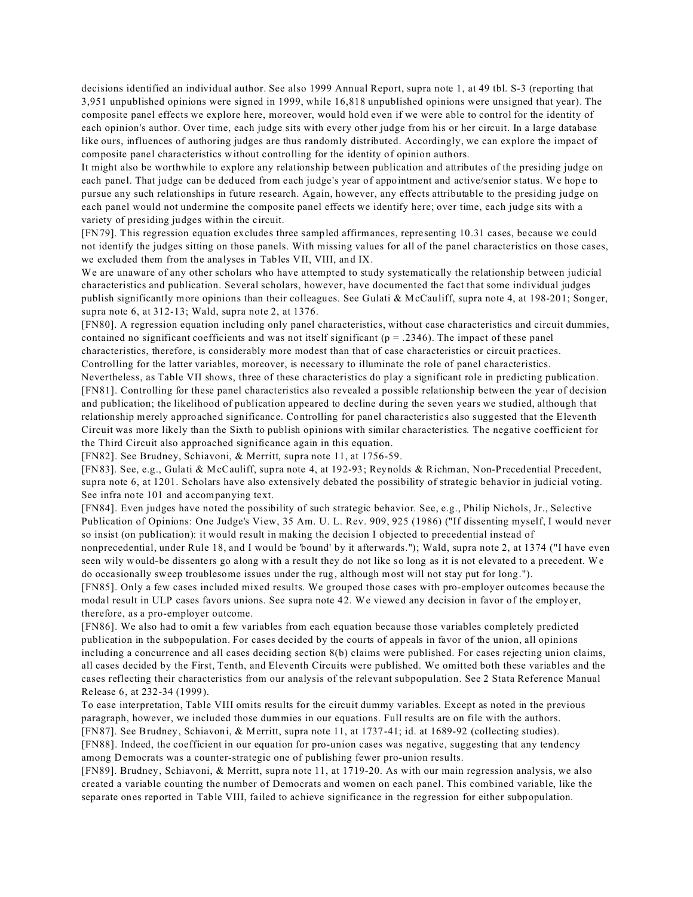decisions identified an individual author. See also 1999 Annual Report, supra note 1, at 49 tbl. S-3 (reporting that 3,951 unpublished opinions were signed in 1999, while 16,818 unpublished opinions were unsigned that year). The composite panel effects we explore here, moreover, would hold even if we were able to control for the identity of each opinion's author. Over time, each judge sits with every other judge from his or her circuit. In a large database like ours, influences of authoring judges are thus randomly distributed. Accordingly, we can explore the impact of composite panel characteristics without controlling for the identity of opinion authors.

It might also be worthwhile to explore any relationship between publication and attributes of the presiding judge on each panel. That judge can be deduced from each judge's year of appointment and active/senior status. We hope to pursue any such relationships in future research. Again, however, any effects attributable to the presiding judge on each panel would not undermine the composite panel effects we identify here; over time, each judge sits with a variety of presiding judges within the circuit.

[FN79]. This regression equation excludes three sampled affirmances, representing 10.31 cases, because we could not identify the judges sitting on those panels. With missing values for all of the panel characteristics on those cases, we excluded them from the analyses in Tables VII, VIII, and IX.

We are unaware of any other scholars who have attempted to study systematically the relationship between judicial characteristics and publication. Several scholars, however, have documented the fact that some individual judges publish significantly more opinions than their colleagues. See Gulati & McCauliff, supra note 4, at 198-201; Songer, supra note 6, at 312-13; Wald, supra note 2, at 1376.

[FN80]. A regression equation including only panel characteristics, without case characteristics and circuit dummies, contained no significant coefficients and was not itself significant  $(p = .2346)$ . The impact of these panel characteristics, therefore, is considerably more modest than that of case characteristics or circuit practices. Controlling for the latter variables, moreover, is necessary to illuminate the role of panel characteristics.

Nevertheless, as Table VII shows, three of these characteristics do play a significant role in predicting publication. [FN81]. Controlling for these panel characteristics also revealed a possible relationship between the year of decision and publication; the likelihood of publication appeared to decline during the seven years we studied, although that relationship merely approached significance. Controlling for panel characteristics also suggested that the Eleventh Circuit was more likely than the Sixth to publish opinions with similar characteristics. The negative coefficient for the Third Circuit also approached significance again in this equation.

[FN82]. See Brudney, Schiavoni, & Merritt, supra note 11, at 1756-59.

[FN83]. See, e.g., Gulati & McCauliff, supra note 4, at 192-93; Reynolds & Richman, Non-Precedential Precedent, supra note 6, at 1201. Scholars have also extensively debated the possibility of strategic behavior in judicial voting. See infra note 101 and accompanying text.

[FN84]. Even judges have noted the possibility of such strategic behavior. See, e.g., Philip Nichols, Jr., Selective Publication of Opinions: One Judge's View, 35 Am. U. L. Rev. 909, 925 (1986) ("If dissenting myself, I would never so insist (on publication): it would result in making the decision I objected to precedential instead of

nonprecedential, under Rule 18, and I would be 'bound' by it afterwards."); Wald, supra note 2, at 1374 ("I have even seen wily would-be dissenters go along with a result they do not like so long as it is not elevated to a precedent. We do occasionally sweep troublesome issues under the rug, although most will not stay put for long.").

[FN85]. Only a few cases included mixed results. We grouped those cases with pro-employer outcomes because the modal result in ULP cases favors unions. See supra note 42. We viewed any decision in favor of the employer, therefore, as a pro-employer outcome.

[FN86]. We also had to omit a few variables from each equation because those variables completely predicted publication in the subpopulation. For cases decided by the courts of appeals in favor of the union, all opinions including a concurrence and all cases deciding section 8(b) claims were published. For cases rejecting union claims, all cases decided by the First, Tenth, and Eleventh Circuits were published. We omitted both these variables and the cases reflecting their characteristics from our analysis of the relevant subpopulation. See 2 Stata Reference Manual Release 6, at 232-34 (1999).

To ease interpretation, Table VIII omits results for the circuit dummy variables. Except as noted in the previous paragraph, however, we included those dummies in our equations. Full results are on file with the authors.

[FN87]. See Brudney, Schiavoni, & Merritt, supra note 11, at 1737-41; id. at 1689-92 (collecting studies). [FN88]. Indeed, the coefficient in our equation for pro-union cases was negative, suggesting that any tendency

among Democrats was a counter-strategic one of publishing fewer pro-union results.

[FN89]. Brudney, Schiavoni, & Merritt, supra note 11, at 1719-20. As with our main regression analysis, we also created a variable counting the number of Democrats and women on each panel. This combined variable, like the separate ones reported in Table VIII, failed to achieve significance in the regression for either subpopulation.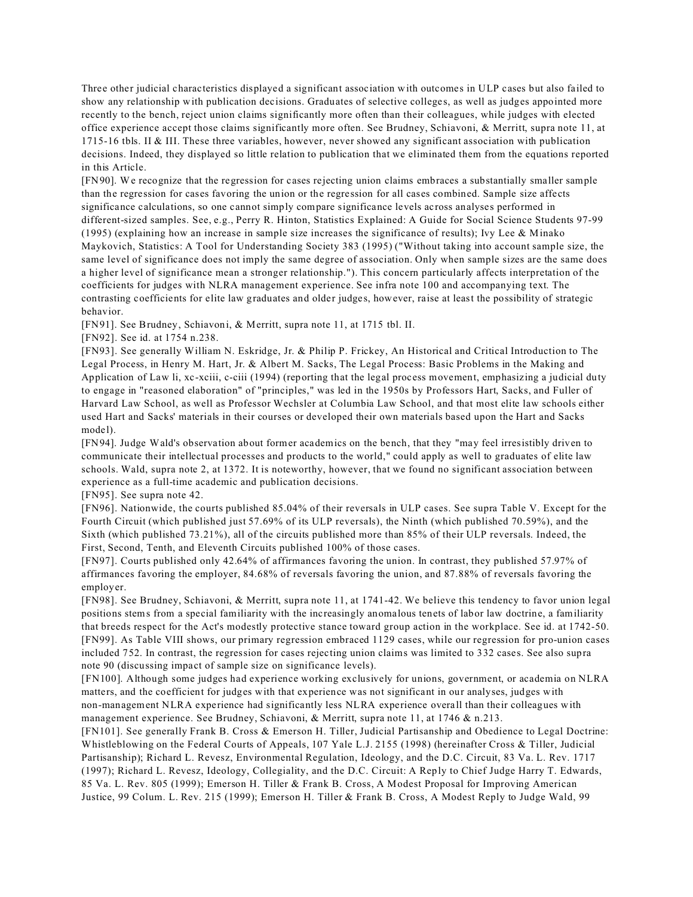Three other judicial characteristics displayed a significant association with outcomes in ULP cases but also failed to show any relationship with publication decisions. Graduates of selective colleges, as well as judges appointed more recently to the bench, reject union claims significantly more often than their colleagues, while judges with elected office experience accept those claims significantly more often. See Brudney, Schiavoni, & Merritt, supra note 11, at 1715-16 tbls. II & III. These three variables, however, never showed any significant association with publication decisions. Indeed, they displayed so little relation to publication that we eliminated them from the equations reported in this Article.

[FN90]. We recognize that the regression for cases rejecting union claims embraces a substantially smaller sample than the regression for cases favoring the union or the regression for all cases combined. Sample size affects significance calculations, so one cannot simply compare significance levels across analyses performed in different-sized samples. See, e.g., Perry R. Hinton, Statistics Explained: A Guide for Social Science Students 97-99 (1995) (explaining how an increase in sample size increases the significance of results); Ivy Lee & Minako Maykovich, Statistics: A Tool for Understanding Society 383 (1995) ("Without taking into account sample size, the same level of significance does not imply the same degree of association. Only when sample sizes are the same does a higher level of significance mean a stronger relationship."). This concern particularly affects interpretation of the coefficients for judges with NLRA management experience. See infra note 100 and accompanying text. The contrasting coefficients for elite law graduates and older judges, however, raise at least the possibility of strategic behavior.

[FN91]. See Brudney, Schiavoni, & Merritt, supra note 11, at 1715 tbl. II.

[FN92]. See id. at 1754 n.238.

[FN93]. See generally William N. Eskridge, Jr. & Philip P. Frickey, An Historical and Critical Introduction to The Legal Process, in Henry M. Hart, Jr. & Albert M. Sacks, The Legal Process: Basic Problems in the Making and Application of Law li, xc-xciii, c-ciii (1994) (reporting that the legal process movement, emphasizing a judicial duty to engage in "reasoned elaboration" of "principles," was led in the 1950s by Professors Hart, Sacks, and Fuller of Harvard Law School, as well as Professor Wechsler at Columbia Law School, and that most elite law schools either used Hart and Sacks' materials in their courses or developed their own materials based upon the Hart and Sacks model).

[FN94]. Judge Wald's observation about former academics on the bench, that they "may feel irresistibly driven to communicate their intellectual processes and products to the world," could apply as well to graduates of elite law schools. Wald, supra note 2, at 1372. It is noteworthy, however, that we found no significant association between experience as a full-time academic and publication decisions.

[FN95]. See supra note 42.

[FN96]. Nationwide, the courts published 85.04% of their reversals in ULP cases. See supra Table V. Except for the Fourth Circuit (which published just 57.69% of its ULP reversals), the Ninth (which published 70.59%), and the Sixth (which published 73.21%), all of the circuits published more than 85% of their ULP reversals. Indeed, the First, Second, Tenth, and Eleventh Circuits published 100% of those cases.

[FN97]. Courts published only 42.64% of affirmances favoring the union. In contrast, they published 57.97% of affirmances favoring the employer, 84.68% of reversals favoring the union, and 87.88% of reversals favoring the employer.

[FN98]. See Brudney, Schiavoni, & Merritt, supra note 11, at 1741-42. We believe this tendency to favor union legal positions stems from a special familiarity with the increasingly anomalous tenets of labor law doctrine, a familiarity that breeds respect for the Act's modestly protective stance toward group action in the workplace. See id. at 1742-50. [FN99]. As Table VIII shows, our primary regression embraced 1129 cases, while our regression for pro-union cases included 752. In contrast, the regression for cases rejecting union claims was limited to 332 cases. See also supra note 90 (discussing impact of sample size on significance levels).

[FN100]. Although some judges had experience working exclusively for unions, government, or academia on NLRA matters, and the coefficient for judges with that experience was not significant in our analyses, judges with non-management NLRA experience had significantly less NLRA experience overall than their colleagues with management experience. See Brudney, Schiavoni, & Merritt, supra note 11, at 1746 & n.213.

[FN101]. See generally Frank B. Cross & Emerson H. Tiller, Judicial Partisanship and Obedience to Legal Doctrine: Whistleblowing on the Federal Courts of Appeals, 107 Yale L.J. 2155 (1998) (hereinafter Cross & Tiller, Judicial Partisanship); Richard L. Revesz, Environmental Regulation, Ideology, and the D.C. Circuit, 83 Va. L. Rev. 1717 (1997); Richard L. Revesz, Ideology, Collegiality, and the D.C. Circuit: A Reply to Chief Judge Harry T. Edwards, 85 Va. L. Rev. 805 (1999); Emerson H. Tiller & Frank B. Cross, A Modest Proposal for Improving American Justice, 99 Colum. L. Rev. 215 (1999); Emerson H. Tiller & Frank B. Cross, A Modest Reply to Judge Wald, 99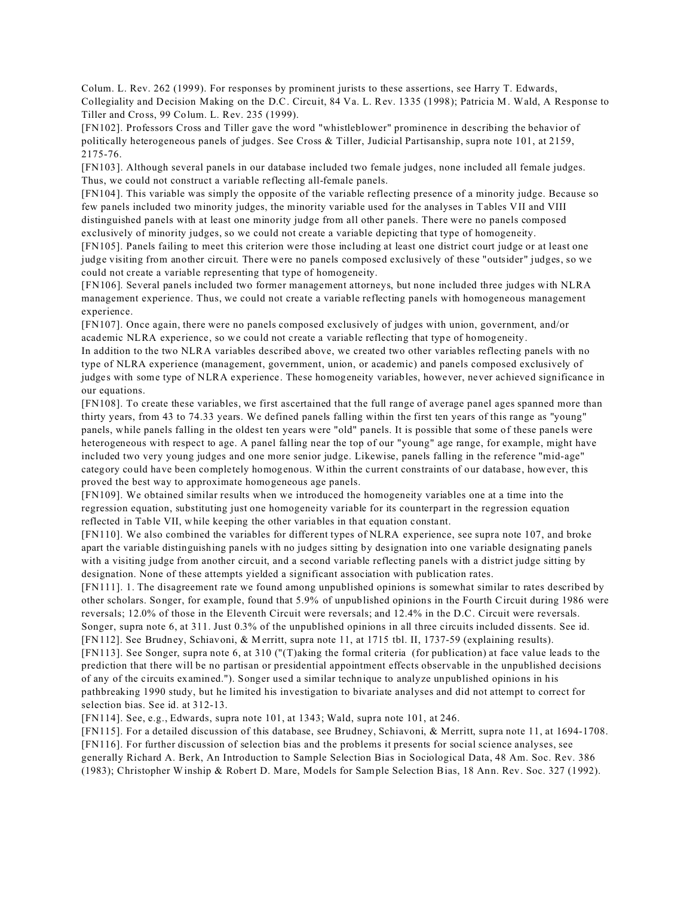Colum. L. Rev. 262 (1999). For responses by prominent jurists to these assertions, see Harry T. Edwards, Collegiality and Decision Making on the D.C. Circuit, 84 Va. L. Rev. 1335 (1998); Patricia M. Wald, A Response to Tiller and Cross, 99 Colum. L. Rev. 235 (1999).

[FN102]. Professors Cross and Tiller gave the word "whistleblower" prominence in describing the behavior of politically heterogeneous panels of judges. See Cross & Tiller, Judicial Partisanship, supra note 101, at 2159, 2175-76.

[FN103]. Although several panels in our database included two female judges, none included all female judges. Thus, we could not construct a variable reflecting all-female panels.

[FN104]. This variable was simply the opposite of the variable reflecting presence of a minority judge. Because so few panels included two minority judges, the minority variable used for the analyses in Tables VII and VIII distinguished panels with at least one minority judge from all other panels. There were no panels composed exclusively of minority judges, so we could not create a variable depicting that type of homogeneity.

[FN105]. Panels failing to meet this criterion were those including at least one district court judge or at least one judge visiting from another circuit. There were no panels composed exclusively of these "outsider" judges, so we could not create a variable representing that type of homogeneity.

[FN106]. Several panels included two former management attorneys, but none included three judges with NLRA management experience. Thus, we could not create a variable reflecting panels with homogeneous management experience.

[FN107]. Once again, there were no panels composed exclusively of judges with union, government, and/or academic NLRA experience, so we could not create a variable reflecting that type of homogeneity.

In addition to the two NLRA variables described above, we created two other variables reflecting panels with no type of NLRA experience (management, government, union, or academic) and panels composed exclusively of judges with some type of NLRA experience. These homogeneity variables, however, never achieved significance in our equations.

[FN108]. To create these variables, we first ascertained that the full range of average panel ages spanned more than thirty years, from 43 to 74.33 years. We defined panels falling within the first ten years of this range as "young" panels, while panels falling in the oldest ten years were "old" panels. It is possible that some of these panels were heterogeneous with respect to age. A panel falling near the top of our "young" age range, for example, might have included two very young judges and one more senior judge. Likewise, panels falling in the reference "mid-age" category could have been completely homogenous. Within the current constraints of our database, however, this proved the best way to approximate homogeneous age panels.

[FN109]. We obtained similar results when we introduced the homogeneity variables one at a time into the regression equation, substituting just one homogeneity variable for its counterpart in the regression equation reflected in Table VII, while keeping the other variables in that equation constant.

[FN110]. We also combined the variables for different types of NLRA experience, see supra note 107, and broke apart the variable distinguishing panels with no judges sitting by designation into one variable designating panels with a visiting judge from another circuit, and a second variable reflecting panels with a district judge sitting by designation. None of these attempts yielded a significant association with publication rates.

[FN111]. 1. The disagreement rate we found among unpublished opinions is somewhat similar to rates described by other scholars. Songer, for example, found that 5.9% of unpublished opinions in the Fourth Circuit during 1986 were reversals; 12.0% of those in the Eleventh Circuit were reversals; and 12.4% in the D.C. Circuit were reversals. Songer, supra note 6, at 311. Just 0.3% of the unpublished opinions in all three circuits included dissents. See id. [FN112]. See Brudney, Schiavoni, & Merritt, supra note 11, at 1715 tbl. II, 1737-59 (explaining results).

[FN113]. See Songer, supra note 6, at 310 ("(T)aking the formal criteria (for publication) at face value leads to the prediction that there will be no partisan or presidential appointment effects observable in the unpublished decisions of any of the circuits examined."). Songer used a similar technique to analyze unpublished opinions in his pathbreaking 1990 study, but he limited his investigation to bivariate analyses and did not attempt to correct for selection bias. See id. at 312-13.

[FN114]. See, e.g., Edwards, supra note 101, at 1343; Wald, supra note 101, at 246.

[FN115]. For a detailed discussion of this database, see Brudney, Schiavoni, & Merritt, supra note 11, at 1694-1708. [FN116]. For further discussion of selection bias and the problems it presents for social science analyses, see generally Richard A. Berk, An Introduction to Sample Selection Bias in Sociological Data, 48 Am. Soc. Rev. 386 (1983); Christopher Winship & Robert D. Mare, Models for Sample Selection Bias, 18 Ann. Rev. Soc. 327 (1992).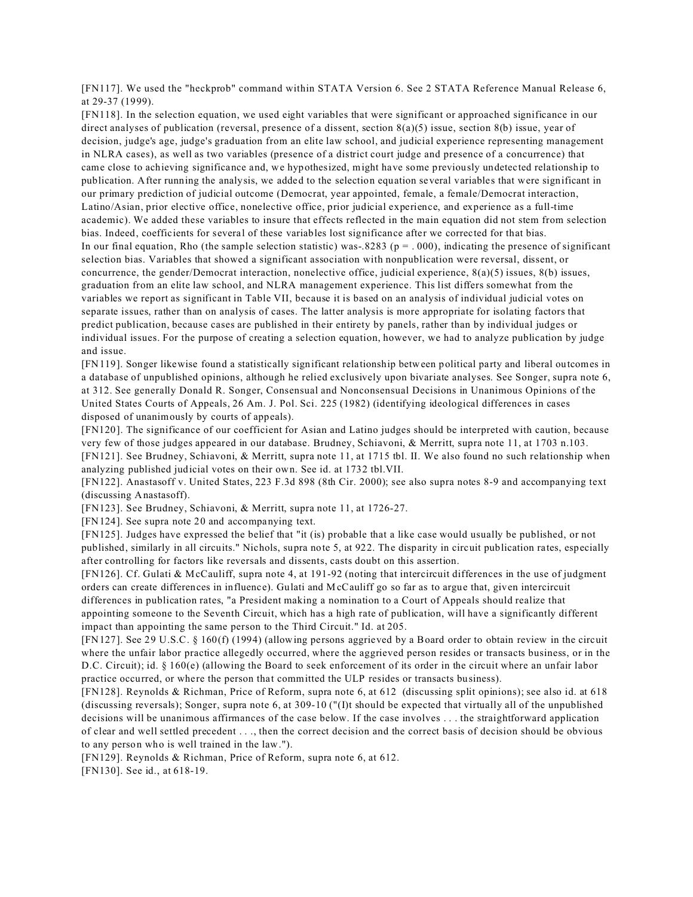[FN117]. We used the "heckprob" command within STATA Version 6. See 2 STATA Reference Manual Release 6, at 29-37 (1999).

[FN118]. In the selection equation, we used eight variables that were significant or approached significance in our direct analyses of publication (reversal, presence of a dissent, section 8(a)(5) issue, section 8(b) issue, year of decision, judge's age, judge's graduation from an elite law school, and judicial experience representing management in NLRA cases), as well as two variables (presence of a district court judge and presence of a concurrence) that came close to achieving significance and, we hypothesized, might have some previously undetected relationship to publication. After running the analysis, we added to the selection equation several variables that were significant in our primary prediction of judicial outcome (Democrat, year appointed, female, a female/Democrat interaction, Latino/Asian, prior elective office, nonelective office, prior judicial experience, and experience as a full-time academic). We added these variables to insure that effects reflected in the main equation did not stem from selection bias. Indeed, coefficients for several of these variables lost significance after we corrected for that bias. In our final equation, Rho (the sample selection statistic) was-.8283 ( $p = .000$ ), indicating the presence of significant selection bias. Variables that showed a significant association with nonpublication were reversal, dissent, or concurrence, the gender/Democrat interaction, nonelective office, judicial experience, 8(a)(5) issues, 8(b) issues, graduation from an elite law school, and NLRA management experience. This list differs somewhat from the variables we report as significant in Table VII, because it is based on an analysis of individual judicial votes on separate issues, rather than on analysis of cases. The latter analysis is more appropriate for isolating factors that predict publication, because cases are published in their entirety by panels, rather than by individual judges or individual issues. For the purpose of creating a selection equation, however, we had to analyze publication by judge and issue.

[FN119]. Songer likewise found a statistically significant relationship between political party and liberal outcomes in a database of unpublished opinions, although he relied exclusively upon bivariate analyses. See Songer, supra note 6, at 312. See generally Donald R. Songer, Consensual and Nonconsensual Decisions in Unanimous Opinions of the United States Courts of Appeals, 26 Am. J. Pol. Sci. 225 (1982) (identifying ideological differences in cases disposed of unanimously by courts of appeals).

[FN120]. The significance of our coefficient for Asian and Latino judges should be interpreted with caution, because very few of those judges appeared in our database. Brudney, Schiavoni, & Merritt, supra note 11, at 1703 n.103. [FN121]. See Brudney, Schiavoni, & Merritt, supra note 11, at 1715 tbl. II. We also found no such relationship when analyzing published judicial votes on their own. See id. at 1732 tbl.VII.

[FN122]. Anastasoff v. United States, 223 F.3d 898 (8th Cir. 2000); see also supra notes 8-9 and accompanying text (discussing Anastasoff).

[FN123]. See Brudney, Schiavoni, & Merritt, supra note 11, at 1726-27.

[FN124]. See supra note 20 and accompanying text.

[FN125]. Judges have expressed the belief that "it (is) probable that a like case would usually be published, or not published, similarly in all circuits." Nichols, supra note 5, at 922. The disparity in circuit publication rates, especially after controlling for factors like reversals and dissents, casts doubt on this assertion.

[FN126]. Cf. Gulati & McCauliff, supra note 4, at 191-92 (noting that intercircuit differences in the use of judgment orders can create differences in influence). Gulati and M cCauliff go so far as to argue that, given intercircuit differences in publication rates, "a President making a nomination to a Court of Appeals should realize that appointing someone to the Seventh Circuit, which has a high rate of publication, will have a significantly different impact than appointing the same person to the Third Circuit." Id. at 205.

[FN127]. See 29 U.S.C. § 160(f) (1994) (allowing persons aggrieved by a Board order to obtain review in the circuit where the unfair labor practice allegedly occurred, where the aggrieved person resides or transacts business, or in the D.C. Circuit); id. § 160(e) (allowing the Board to seek enforcement of its order in the circuit where an unfair labor practice occurred, or where the person that committed the ULP resides or transacts business).

[FN128]. Reynolds & Richman, Price of Reform, supra note 6, at 612 (discussing split opinions); see also id. at 618 (discussing reversals); Songer, supra note 6, at 309-10 ("(I)t should be expected that virtually all of the unpublished decisions will be unanimous affirmances of the case below. If the case involves . . . the straightforward application of clear and well settled precedent . . ., then the correct decision and the correct basis of decision should be obvious to any person who is well trained in the law.").

[FN129]. Reynolds & Richman, Price of Reform, supra note 6, at 612.

[FN130]. See id., at 618-19.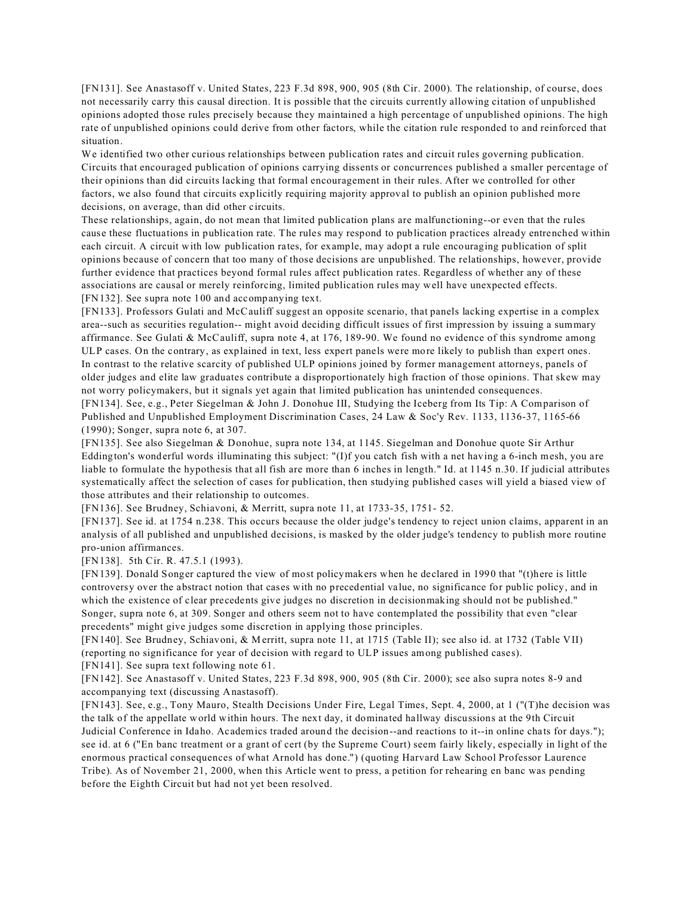[FN131]. See Anastasoff v. United States, 223 F.3d 898, 900, 905 (8th Cir. 2000). The relationship, of course, does not necessarily carry this causal direction. It is possible that the circuits currently allowing citation of unpublished opinions adopted those rules precisely because they maintained a high percentage of unpublished opinions. The high rate of unpublished opinions could derive from other factors, while the citation rule responded to and reinforced that situation.

We identified two other curious relationships between publication rates and circuit rules governing publication. Circuits that encouraged publication of opinions carrying dissents or concurrences published a smaller percentage of their opinions than did circuits lacking that formal encouragement in their rules. After we controlled for other factors, we also found that circuits explicitly requiring majority approval to publish an opinion published more decisions, on average, than did other circuits.

These relationships, again, do not mean that limited publication plans are malfunctioning--or even that the rules cause these fluctuations in publication rate. The rules may respond to publication practices already entrenched within each circuit. A circuit with low publication rates, for example, may adopt a rule encouraging publication of split opinions because of concern that too many of those decisions are unpublished. The relationships, however, provide further evidence that practices beyond formal rules affect publication rates. Regardless of whether any of these associations are causal or merely reinforcing, limited publication rules may well have unexpected effects. [FN132]. See supra note 100 and accompanying text.

[FN133]. Professors Gulati and McCauliff suggest an opposite scenario, that panels lacking expertise in a complex area--such as securities regulation-- might avoid deciding difficult issues of first impression by issuing a summary affirmance. See Gulati & McCauliff, supra note 4, at 176, 189-90. We found no evidence of this syndrome among ULP cases. On the contrary, as explained in text, less expert panels were more likely to publish than expert ones. In contrast to the relative scarcity of published ULP opinions joined by former management attorneys, panels of older judges and elite law graduates contribute a disproportionately high fraction of those opinions. That skew may not worry policymakers, but it signals yet again that limited publication has unintended consequences. [FN134]. See, e.g., Peter Siegelman & John J. Donohue III, Studying the Iceberg from Its Tip: A Comparison of Published and Unpublished Employment Discrimination Cases, 24 Law & Soc'y Rev. 1133, 1136-37, 1165-66 (1990); Songer, supra note 6, at 307.

[FN135]. See also Siegelman & Donohue, supra note 134, at 1145. Siegelman and Donohue quote Sir Arthur Eddington's wonderful words illuminating this subject: "(I)f you catch fish with a net having a 6-inch mesh, you are liable to formulate the hypothesis that all fish are more than 6 inches in length." Id. at 1145 n.30. If judicial attributes systematically affect the selection of cases for publication, then studying published cases will yield a biased view of those attributes and their relationship to outcomes.

[FN136]. See Brudney, Schiavoni, & Merritt, supra note 11, at 1733-35, 1751- 52.

[FN137]. See id. at 1754 n.238. This occurs because the older judge's tendency to reject union claims, apparent in an analysis of all published and unpublished decisions, is masked by the older judge's tendency to publish more routine pro-union affirmances.

[FN138]. 5th Cir. R. 47.5.1 (1993).

[FN139]. Donald Songer captured the view of most policymakers when he declared in 1990 that "(t)here is little controversy over the abstract notion that cases with no precedential value, no significance for public policy, and in which the existence of clear precedents give judges no discretion in decisionmaking should not be published." Songer, supra note 6, at 309. Songer and others seem not to have contemplated the possibility that even "clear precedents" might give judges some discretion in applying those principles.

[FN140]. See Brudney, Schiavoni, & Merritt, supra note 11, at 1715 (Table II); see also id. at 1732 (Table VII) (reporting no significance for year of decision with regard to ULP issues among published cases). [FN141]. See supra text following note 61.

[FN142]. See Anastasoff v. United States, 223 F.3d 898, 900, 905 (8th Cir. 2000); see also supra notes 8-9 and accompanying text (discussing Anastasoff).

[FN143]. See, e.g., Tony Mauro, Stealth Decisions Under Fire, Legal Times, Sept. 4, 2000, at 1 ("(T)he decision was the talk of the appellate world within hours. The next day, it dominated hallway discussions at the 9th Circuit Judicial Conference in Idaho. Academics traded around the decision--and reactions to it--in online chats for days."); see id. at 6 ("En banc treatment or a grant of cert (by the Supreme Court) seem fairly likely, especially in light of the enormous practical consequences of what Arnold has done.") (quoting Harvard Law School Professor Laurence Tribe). As of November 21, 2000, when this Article went to press, a petition for rehearing en banc was pending before the Eighth Circuit but had not yet been resolved.